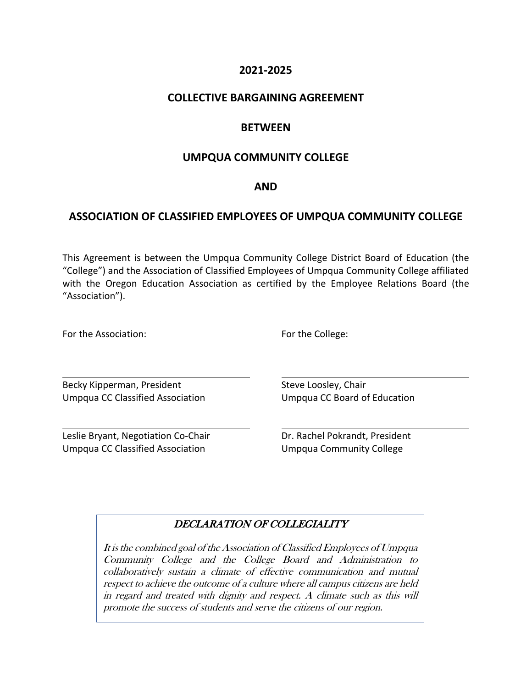## **2021-2025**

## **COLLECTIVE BARGAINING AGREEMENT**

# **BETWEEN**

## **UMPQUA COMMUNITY COLLEGE**

### **AND**

# **ASSOCIATION OF CLASSIFIED EMPLOYEES OF UMPQUA COMMUNITY COLLEGE**

This Agreement is between the Umpqua Community College District Board of Education (the "College") and the Association of Classified Employees of Umpqua Community College affiliated with the Oregon Education Association as certified by the Employee Relations Board (the "Association").

For the Association: The Example 2012 of the College:

Becky Kipperman, President Steve Loosley, Chair Umpqua CC Classified Association Umpqua CC Board of Education

Leslie Bryant, Negotiation Co-Chair **Dr. Rachel Pokrandt, President** Umpqua CC Classified Association Umpqua Community College

## DECLARATION OF COLLEGIALITY

It is the combined goal of the Association of Classified Employees of Umpqua Community College and the College Board and Administration to collaboratively sustain a climate of effective communication and mutual respect to achieve the outcome of a culture where all campus citizens are held in regard and treated with dignity and respect. A climate such as this will promote the success of students and serve the citizens of our region.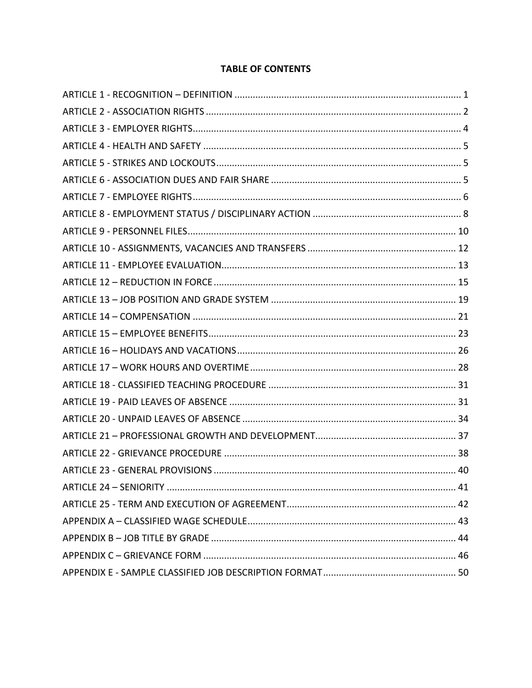## **TABLE OF CONTENTS**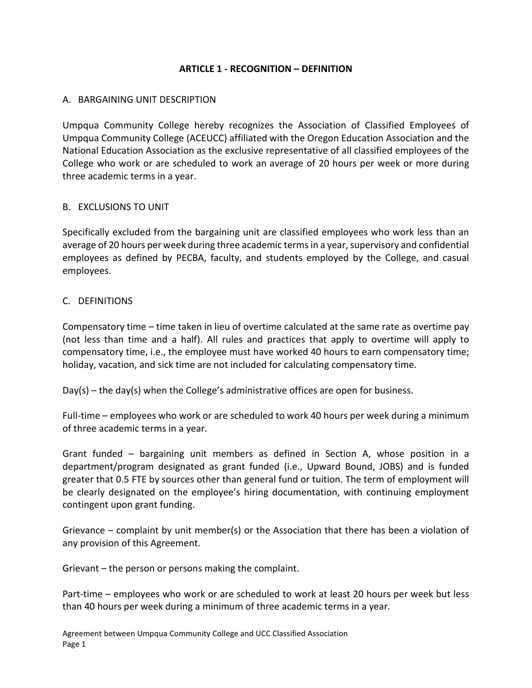## **ARTICLE 1 - RECOGNITION – DEFINITION**

### <span id="page-2-0"></span>A. BARGAINING UNIT DESCRIPTION

Umpqua Community College hereby recognizes the Association of Classified Employees of Umpqua Community College (ACEUCC) affiliated with the Oregon Education Association and the National Education Association as the exclusive representative of all classified employees of the College who work or are scheduled to work an average of 20 hours per week or more during three academic terms in a year.

### B. EXCLUSIONS TO UNIT

Specifically excluded from the bargaining unit are classified employees who work less than an average of 20 hours per week during three academic terms in a year, supervisory and confidential employees as defined by PECBA, faculty, and students employed by the College, and casual employees.

### C. DEFINITIONS

Compensatory time – time taken in lieu of overtime calculated at the same rate as overtime pay (not less than time and a half). All rules and practices that apply to overtime will apply to compensatory time, i.e., the employee must have worked 40 hours to earn compensatory time; holiday, vacation, and sick time are not included for calculating compensatory time.

 $Day(s)$  – the day(s) when the College's administrative offices are open for business.

Full-time – employees who work or are scheduled to work 40 hours per week during a minimum of three academic terms in a year.

Grant funded – bargaining unit members as defined in Section A, whose position in a department/program designated as grant funded (i.e., Upward Bound, JOBS) and is funded greater that 0.5 FTE by sources other than general fund or tuition. The term of employment will be clearly designated on the employee's hiring documentation, with continuing employment contingent upon grant funding.

Grievance – complaint by unit member(s) or the Association that there has been a violation of any provision of this Agreement.

Grievant – the person or persons making the complaint.

Part-time – employees who work or are scheduled to work at least 20 hours per week but less than 40 hours per week during a minimum of three academic terms in a year.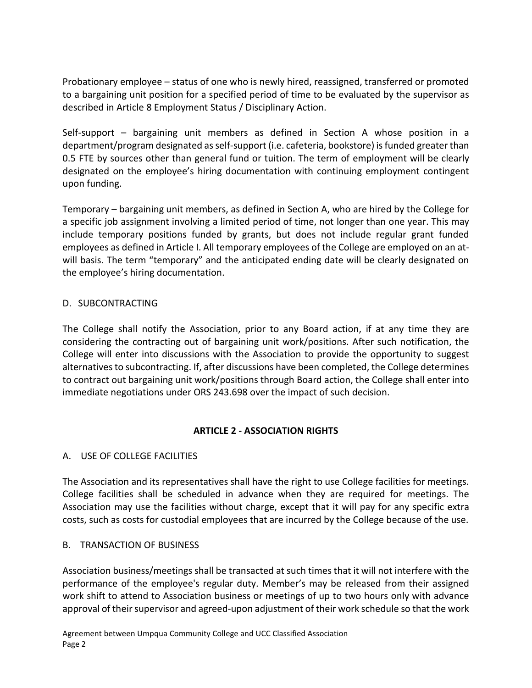Probationary employee – status of one who is newly hired, reassigned, transferred or promoted to a bargaining unit position for a specified period of time to be evaluated by the supervisor as described in Article 8 Employment Status / Disciplinary Action.

Self-support – bargaining unit members as defined in Section A whose position in a department/program designated as self-support (i.e. cafeteria, bookstore) is funded greater than 0.5 FTE by sources other than general fund or tuition. The term of employment will be clearly designated on the employee's hiring documentation with continuing employment contingent upon funding.

Temporary – bargaining unit members, as defined in Section A, who are hired by the College for a specific job assignment involving a limited period of time, not longer than one year. This may include temporary positions funded by grants, but does not include regular grant funded employees as defined in Article I. All temporary employees of the College are employed on an atwill basis. The term "temporary" and the anticipated ending date will be clearly designated on the employee's hiring documentation.

## D. SUBCONTRACTING

The College shall notify the Association, prior to any Board action, if at any time they are considering the contracting out of bargaining unit work/positions. After such notification, the College will enter into discussions with the Association to provide the opportunity to suggest alternatives to subcontracting. If, after discussions have been completed, the College determines to contract out bargaining unit work/positions through Board action, the College shall enter into immediate negotiations under ORS 243.698 over the impact of such decision.

## **ARTICLE 2 - ASSOCIATION RIGHTS**

## <span id="page-3-0"></span>A. USE OF COLLEGE FACILITIES

The Association and its representatives shall have the right to use College facilities for meetings. College facilities shall be scheduled in advance when they are required for meetings. The Association may use the facilities without charge, except that it will pay for any specific extra costs, such as costs for custodial employees that are incurred by the College because of the use.

## B. TRANSACTION OF BUSINESS

Association business/meetings shall be transacted at such times that it will not interfere with the performance of the employee's regular duty. Member's may be released from their assigned work shift to attend to Association business or meetings of up to two hours only with advance approval of their supervisor and agreed-upon adjustment of their work schedule so that the work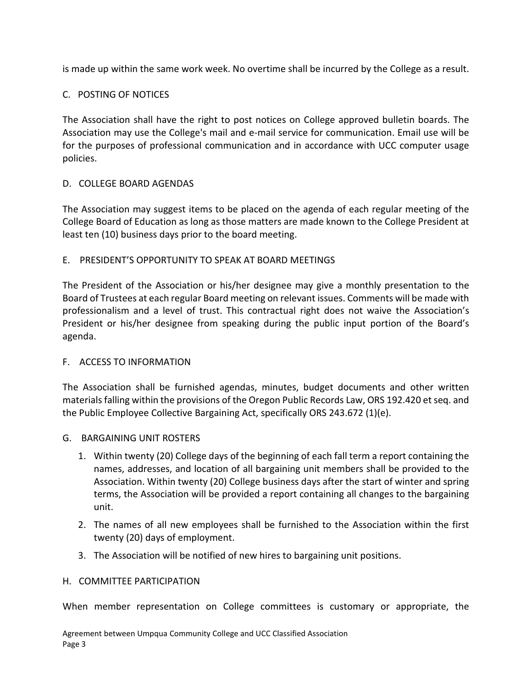is made up within the same work week. No overtime shall be incurred by the College as a result.

## C. POSTING OF NOTICES

The Association shall have the right to post notices on College approved bulletin boards. The Association may use the College's mail and e-mail service for communication. Email use will be for the purposes of professional communication and in accordance with UCC computer usage policies.

## D. COLLEGE BOARD AGENDAS

The Association may suggest items to be placed on the agenda of each regular meeting of the College Board of Education as long as those matters are made known to the College President at least ten (10) business days prior to the board meeting.

### E. PRESIDENT'S OPPORTUNITY TO SPEAK AT BOARD MEETINGS

The President of the Association or his/her designee may give a monthly presentation to the Board of Trustees at each regular Board meeting on relevant issues. Comments will be made with professionalism and a level of trust. This contractual right does not waive the Association's President or his/her designee from speaking during the public input portion of the Board's agenda.

### F. ACCESS TO INFORMATION

The Association shall be furnished agendas, minutes, budget documents and other written materials falling within the provisions of the Oregon Public Records Law, ORS 192.420 et seq. and the Public Employee Collective Bargaining Act, specifically ORS 243.672 (1)(e).

- G. BARGAINING UNIT ROSTERS
	- 1. Within twenty (20) College days of the beginning of each fall term a report containing the names, addresses, and location of all bargaining unit members shall be provided to the Association. Within twenty (20) College business days after the start of winter and spring terms, the Association will be provided a report containing all changes to the bargaining unit.
	- 2. The names of all new employees shall be furnished to the Association within the first twenty (20) days of employment.
	- 3. The Association will be notified of new hires to bargaining unit positions.

### H. COMMITTEE PARTICIPATION

When member representation on College committees is customary or appropriate, the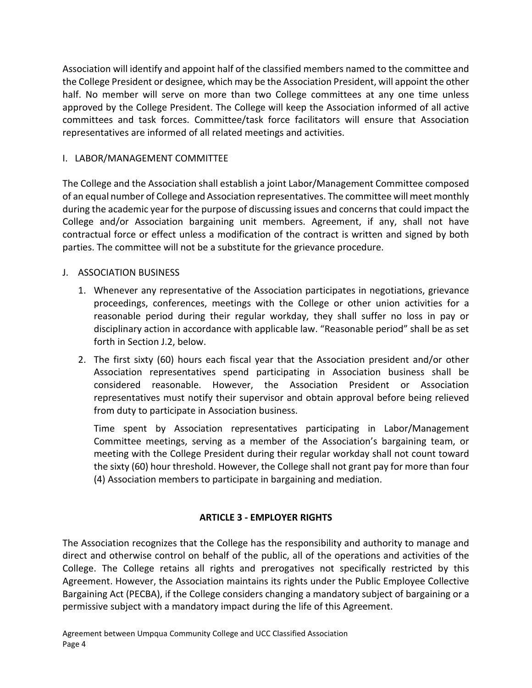Association will identify and appoint half of the classified members named to the committee and the College President or designee, which may be the Association President, will appoint the other half. No member will serve on more than two College committees at any one time unless approved by the College President. The College will keep the Association informed of all active committees and task forces. Committee/task force facilitators will ensure that Association representatives are informed of all related meetings and activities.

## I. LABOR/MANAGEMENT COMMITTEE

The College and the Association shall establish a joint Labor/Management Committee composed of an equal number of College and Association representatives. The committee will meet monthly during the academic year for the purpose of discussing issues and concerns that could impact the College and/or Association bargaining unit members. Agreement, if any, shall not have contractual force or effect unless a modification of the contract is written and signed by both parties. The committee will not be a substitute for the grievance procedure.

## J. ASSOCIATION BUSINESS

- 1. Whenever any representative of the Association participates in negotiations, grievance proceedings, conferences, meetings with the College or other union activities for a reasonable period during their regular workday, they shall suffer no loss in pay or disciplinary action in accordance with applicable law. "Reasonable period" shall be as set forth in Section J.2, below.
- 2. The first sixty (60) hours each fiscal year that the Association president and/or other Association representatives spend participating in Association business shall be considered reasonable. However, the Association President or Association representatives must notify their supervisor and obtain approval before being relieved from duty to participate in Association business.

Time spent by Association representatives participating in Labor/Management Committee meetings, serving as a member of the Association's bargaining team, or meeting with the College President during their regular workday shall not count toward the sixty (60) hour threshold. However, the College shall not grant pay for more than four (4) Association members to participate in bargaining and mediation.

## **ARTICLE 3 - EMPLOYER RIGHTS**

<span id="page-5-0"></span>The Association recognizes that the College has the responsibility and authority to manage and direct and otherwise control on behalf of the public, all of the operations and activities of the College. The College retains all rights and prerogatives not specifically restricted by this Agreement. However, the Association maintains its rights under the Public Employee Collective Bargaining Act (PECBA), if the College considers changing a mandatory subject of bargaining or a permissive subject with a mandatory impact during the life of this Agreement.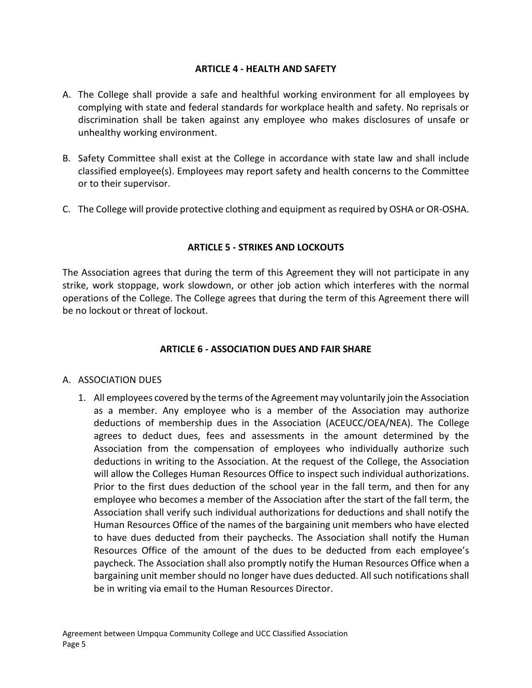### **ARTICLE 4 - HEALTH AND SAFETY**

- <span id="page-6-0"></span>A. The College shall provide a safe and healthful working environment for all employees by complying with state and federal standards for workplace health and safety. No reprisals or discrimination shall be taken against any employee who makes disclosures of unsafe or unhealthy working environment.
- B. Safety Committee shall exist at the College in accordance with state law and shall include classified employee(s). Employees may report safety and health concerns to the Committee or to their supervisor.
- C. The College will provide protective clothing and equipment as required by OSHA or OR-OSHA.

### **ARTICLE 5 - STRIKES AND LOCKOUTS**

<span id="page-6-1"></span>The Association agrees that during the term of this Agreement they will not participate in any strike, work stoppage, work slowdown, or other job action which interferes with the normal operations of the College. The College agrees that during the term of this Agreement there will be no lockout or threat of lockout.

### **ARTICLE 6 - ASSOCIATION DUES AND FAIR SHARE**

### <span id="page-6-2"></span>A. ASSOCIATION DUES

1. All employees covered by the terms of the Agreement may voluntarily join the Association as a member. Any employee who is a member of the Association may authorize deductions of membership dues in the Association (ACEUCC/OEA/NEA). The College agrees to deduct dues, fees and assessments in the amount determined by the Association from the compensation of employees who individually authorize such deductions in writing to the Association. At the request of the College, the Association will allow the Colleges Human Resources Office to inspect such individual authorizations. Prior to the first dues deduction of the school year in the fall term, and then for any employee who becomes a member of the Association after the start of the fall term, the Association shall verify such individual authorizations for deductions and shall notify the Human Resources Office of the names of the bargaining unit members who have elected to have dues deducted from their paychecks. The Association shall notify the Human Resources Office of the amount of the dues to be deducted from each employee's paycheck. The Association shall also promptly notify the Human Resources Office when a bargaining unit member should no longer have dues deducted. All such notifications shall be in writing via email to the Human Resources Director.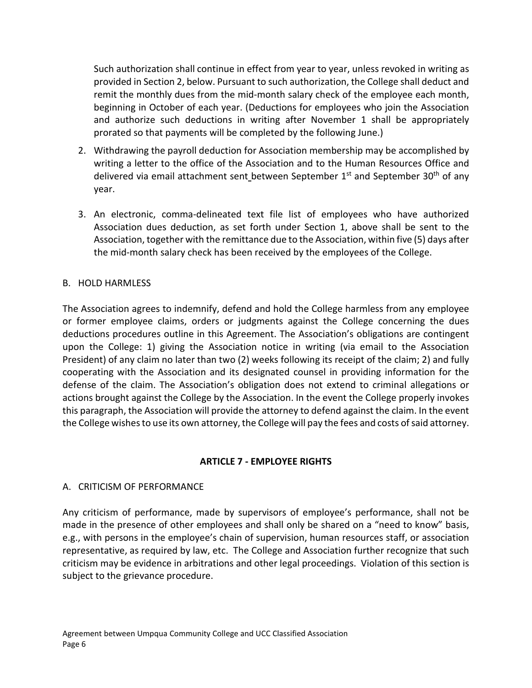Such authorization shall continue in effect from year to year, unless revoked in writing as provided in Section 2, below. Pursuant to such authorization, the College shall deduct and remit the monthly dues from the mid-month salary check of the employee each month, beginning in October of each year. (Deductions for employees who join the Association and authorize such deductions in writing after November 1 shall be appropriately prorated so that payments will be completed by the following June.)

- 2. Withdrawing the payroll deduction for Association membership may be accomplished by writing a letter to the office of the Association and to the Human Resources Office and delivered via email attachment sent between September  $1<sup>st</sup>$  and September 30<sup>th</sup> of any year.
- 3. An electronic, comma-delineated text file list of employees who have authorized Association dues deduction, as set forth under Section 1, above shall be sent to the Association, together with the remittance due to the Association, within five (5) days after the mid-month salary check has been received by the employees of the College.

## B. HOLD HARMLESS

The Association agrees to indemnify, defend and hold the College harmless from any employee or former employee claims, orders or judgments against the College concerning the dues deductions procedures outline in this Agreement. The Association's obligations are contingent upon the College: 1) giving the Association notice in writing (via email to the Association President) of any claim no later than two (2) weeks following its receipt of the claim; 2) and fully cooperating with the Association and its designated counsel in providing information for the defense of the claim. The Association's obligation does not extend to criminal allegations or actions brought against the College by the Association. In the event the College properly invokes this paragraph, the Association will provide the attorney to defend against the claim. In the event the College wishes to use its own attorney, the College will pay the fees and costs of said attorney.

# **ARTICLE 7 - EMPLOYEE RIGHTS**

# <span id="page-7-0"></span>A. CRITICISM OF PERFORMANCE

Any criticism of performance, made by supervisors of employee's performance, shall not be made in the presence of other employees and shall only be shared on a "need to know" basis, e.g., with persons in the employee's chain of supervision, human resources staff, or association representative, as required by law, etc. The College and Association further recognize that such criticism may be evidence in arbitrations and other legal proceedings. Violation of this section is subject to the grievance procedure.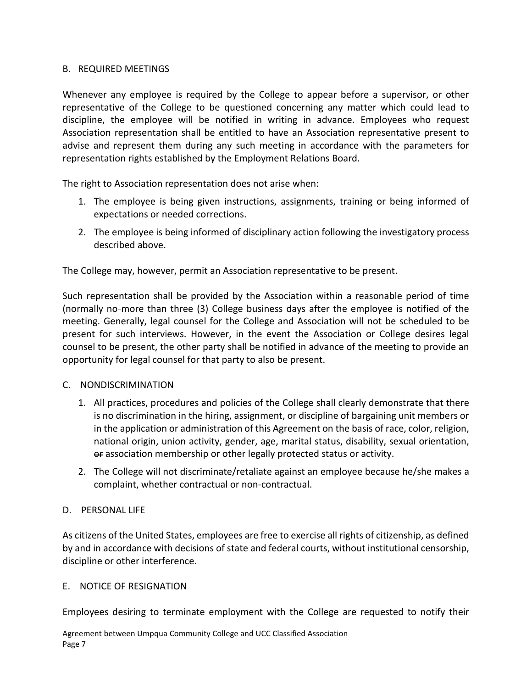### B. REQUIRED MEETINGS

Whenever any employee is required by the College to appear before a supervisor, or other representative of the College to be questioned concerning any matter which could lead to discipline, the employee will be notified in writing in advance. Employees who request Association representation shall be entitled to have an Association representative present to advise and represent them during any such meeting in accordance with the parameters for representation rights established by the Employment Relations Board.

The right to Association representation does not arise when:

- 1. The employee is being given instructions, assignments, training or being informed of expectations or needed corrections.
- 2. The employee is being informed of disciplinary action following the investigatory process described above.

The College may, however, permit an Association representative to be present.

Such representation shall be provided by the Association within a reasonable period of time (normally no-more than three (3) College business days after the employee is notified of the meeting. Generally, legal counsel for the College and Association will not be scheduled to be present for such interviews. However, in the event the Association or College desires legal counsel to be present, the other party shall be notified in advance of the meeting to provide an opportunity for legal counsel for that party to also be present.

### C. NONDISCRIMINATION

- 1. All practices, procedures and policies of the College shall clearly demonstrate that there is no discrimination in the hiring, assignment, or discipline of bargaining unit members or in the application or administration of this Agreement on the basis of race, color, religion, national origin, union activity, gender, age, marital status, disability, sexual orientation, or association membership or other legally protected status or activity.
- 2. The College will not discriminate/retaliate against an employee because he/she makes a complaint, whether contractual or non-contractual.

### D. PERSONAL LIFE

As citizens of the United States, employees are free to exercise all rights of citizenship, as defined by and in accordance with decisions of state and federal courts, without institutional censorship, discipline or other interference.

### E. NOTICE OF RESIGNATION

Employees desiring to terminate employment with the College are requested to notify their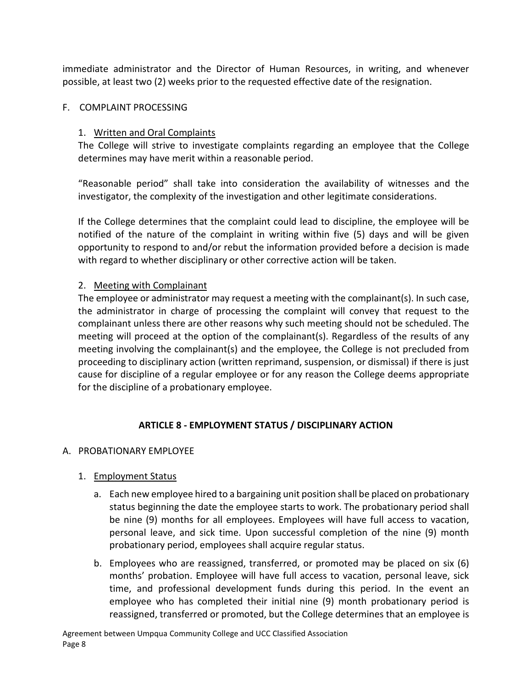immediate administrator and the Director of Human Resources, in writing, and whenever possible, at least two (2) weeks prior to the requested effective date of the resignation.

### F. COMPLAINT PROCESSING

### 1. Written and Oral Complaints

The College will strive to investigate complaints regarding an employee that the College determines may have merit within a reasonable period.

"Reasonable period" shall take into consideration the availability of witnesses and the investigator, the complexity of the investigation and other legitimate considerations.

If the College determines that the complaint could lead to discipline, the employee will be notified of the nature of the complaint in writing within five (5) days and will be given opportunity to respond to and/or rebut the information provided before a decision is made with regard to whether disciplinary or other corrective action will be taken.

### 2. Meeting with Complainant

The employee or administrator may request a meeting with the complainant(s). In such case, the administrator in charge of processing the complaint will convey that request to the complainant unless there are other reasons why such meeting should not be scheduled. The meeting will proceed at the option of the complainant(s). Regardless of the results of any meeting involving the complainant(s) and the employee, the College is not precluded from proceeding to disciplinary action (written reprimand, suspension, or dismissal) if there is just cause for discipline of a regular employee or for any reason the College deems appropriate for the discipline of a probationary employee.

## **ARTICLE 8 - EMPLOYMENT STATUS / DISCIPLINARY ACTION**

## <span id="page-9-0"></span>A. PROBATIONARY EMPLOYEE

## 1. Employment Status

- a. Each new employee hired to a bargaining unit position shall be placed on probationary status beginning the date the employee starts to work. The probationary period shall be nine (9) months for all employees. Employees will have full access to vacation, personal leave, and sick time. Upon successful completion of the nine (9) month probationary period, employees shall acquire regular status.
- b. Employees who are reassigned, transferred, or promoted may be placed on six (6) months' probation. Employee will have full access to vacation, personal leave, sick time, and professional development funds during this period. In the event an employee who has completed their initial nine (9) month probationary period is reassigned, transferred or promoted, but the College determines that an employee is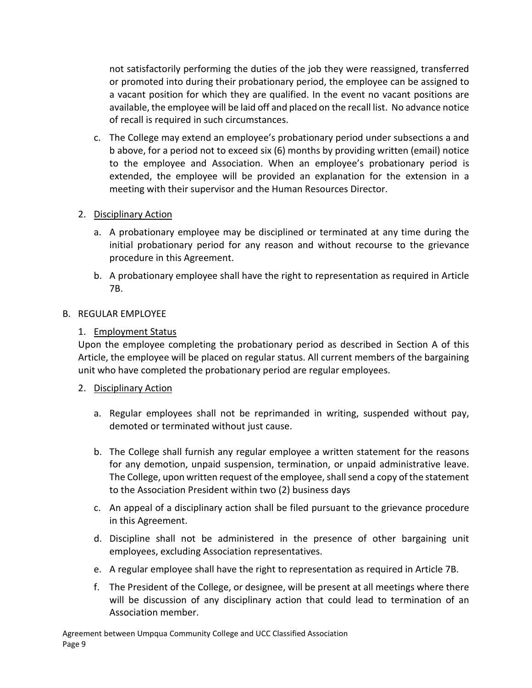not satisfactorily performing the duties of the job they were reassigned, transferred or promoted into during their probationary period, the employee can be assigned to a vacant position for which they are qualified. In the event no vacant positions are available, the employee will be laid off and placed on the recall list. No advance notice of recall is required in such circumstances.

c. The College may extend an employee's probationary period under subsections a and b above, for a period not to exceed six (6) months by providing written (email) notice to the employee and Association. When an employee's probationary period is extended, the employee will be provided an explanation for the extension in a meeting with their supervisor and the Human Resources Director.

## 2. Disciplinary Action

- a. A probationary employee may be disciplined or terminated at any time during the initial probationary period for any reason and without recourse to the grievance procedure in this Agreement.
- b. A probationary employee shall have the right to representation as required in Article 7B.

### B. REGULAR EMPLOYEE

## 1. Employment Status

Upon the employee completing the probationary period as described in Section A of this Article, the employee will be placed on regular status. All current members of the bargaining unit who have completed the probationary period are regular employees.

## 2. Disciplinary Action

- a. Regular employees shall not be reprimanded in writing, suspended without pay, demoted or terminated without just cause.
- b. The College shall furnish any regular employee a written statement for the reasons for any demotion, unpaid suspension, termination, or unpaid administrative leave. The College, upon written request of the employee, shall send a copy of the statement to the Association President within two (2) business days
- c. An appeal of a disciplinary action shall be filed pursuant to the grievance procedure in this Agreement.
- d. Discipline shall not be administered in the presence of other bargaining unit employees, excluding Association representatives.
- e. A regular employee shall have the right to representation as required in Article 7B.
- f. The President of the College, or designee, will be present at all meetings where there will be discussion of any disciplinary action that could lead to termination of an Association member.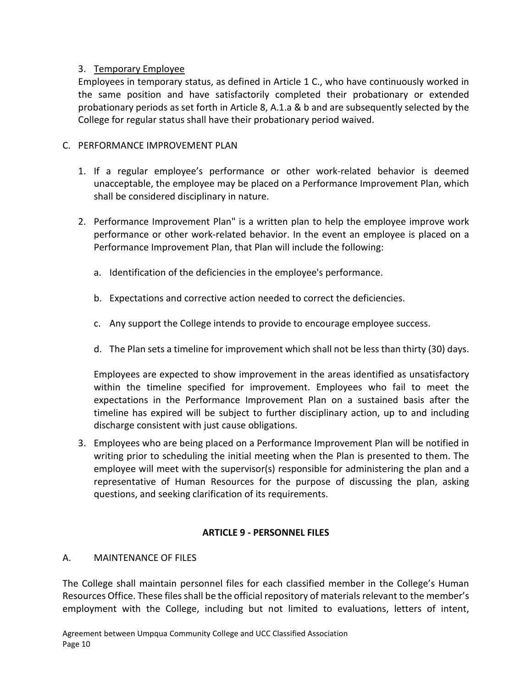## 3. Temporary Employee

Employees in temporary status, as defined in Article 1 C., who have continuously worked in the same position and have satisfactorily completed their probationary or extended probationary periods as set forth in Article 8, A.1.a & b and are subsequently selected by the College for regular status shall have their probationary period waived.

## C. PERFORMANCE IMPROVEMENT PLAN

- 1. If a regular employee's performance or other work-related behavior is deemed unacceptable, the employee may be placed on a Performance Improvement Plan, which shall be considered disciplinary in nature.
- 2. Performance Improvement Plan" is a written plan to help the employee improve work performance or other work-related behavior. In the event an employee is placed on a Performance Improvement Plan, that Plan will include the following:
	- a. Identification of the deficiencies in the employee's performance.
	- b. Expectations and corrective action needed to correct the deficiencies.
	- c. Any support the College intends to provide to encourage employee success.
	- d. The Plan sets a timeline for improvement which shall not be less than thirty (30) days.

Employees are expected to show improvement in the areas identified as unsatisfactory within the timeline specified for improvement. Employees who fail to meet the expectations in the Performance Improvement Plan on a sustained basis after the timeline has expired will be subject to further disciplinary action, up to and including discharge consistent with just cause obligations.

3. Employees who are being placed on a Performance Improvement Plan will be notified in writing prior to scheduling the initial meeting when the Plan is presented to them. The employee will meet with the supervisor(s) responsible for administering the plan and a representative of Human Resources for the purpose of discussing the plan, asking questions, and seeking clarification of its requirements.

# **ARTICLE 9 - PERSONNEL FILES**

## <span id="page-11-0"></span>A. MAINTENANCE OF FILES

The College shall maintain personnel files for each classified member in the College's Human Resources Office. These files shall be the official repository of materials relevant to the member's employment with the College, including but not limited to evaluations, letters of intent,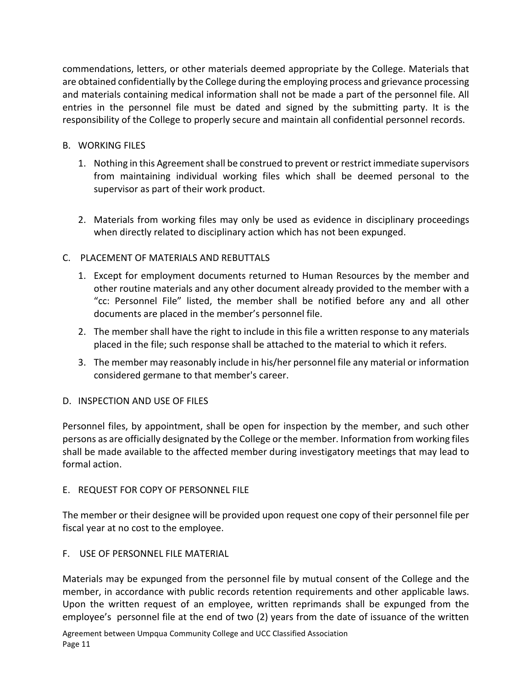commendations, letters, or other materials deemed appropriate by the College. Materials that are obtained confidentially by the College during the employing process and grievance processing and materials containing medical information shall not be made a part of the personnel file. All entries in the personnel file must be dated and signed by the submitting party. It is the responsibility of the College to properly secure and maintain all confidential personnel records.

## B. WORKING FILES

- 1. Nothing in this Agreement shall be construed to prevent or restrict immediate supervisors from maintaining individual working files which shall be deemed personal to the supervisor as part of their work product.
- 2. Materials from working files may only be used as evidence in disciplinary proceedings when directly related to disciplinary action which has not been expunged.

## C. PLACEMENT OF MATERIALS AND REBUTTALS

- 1. Except for employment documents returned to Human Resources by the member and other routine materials and any other document already provided to the member with a "cc: Personnel File" listed, the member shall be notified before any and all other documents are placed in the member's personnel file.
- 2. The member shall have the right to include in this file a written response to any materials placed in the file; such response shall be attached to the material to which it refers.
- 3. The member may reasonably include in his/her personnel file any material or information considered germane to that member's career.

## D. INSPECTION AND USE OF FILES

Personnel files, by appointment, shall be open for inspection by the member, and such other persons as are officially designated by the College or the member. Information from working files shall be made available to the affected member during investigatory meetings that may lead to formal action.

## E. REQUEST FOR COPY OF PERSONNEL FILE

The member or their designee will be provided upon request one copy of their personnel file per fiscal year at no cost to the employee.

F. USE OF PERSONNEL FILE MATERIAL

Materials may be expunged from the personnel file by mutual consent of the College and the member, in accordance with public records retention requirements and other applicable laws. Upon the written request of an employee, written reprimands shall be expunged from the employee's personnel file at the end of two (2) years from the date of issuance of the written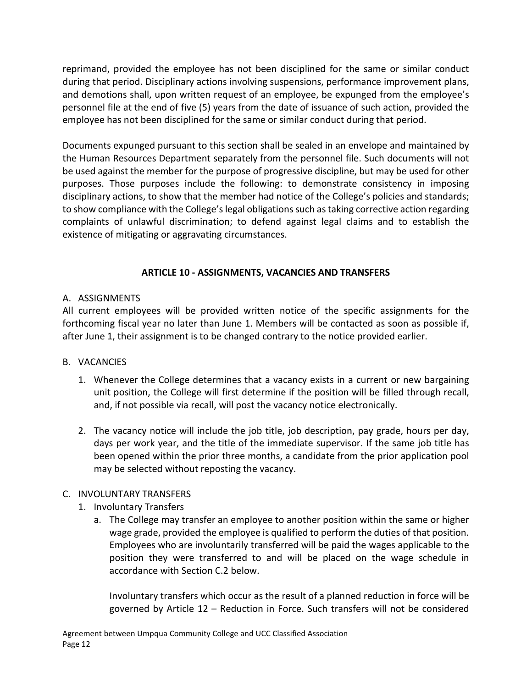reprimand, provided the employee has not been disciplined for the same or similar conduct during that period. Disciplinary actions involving suspensions, performance improvement plans, and demotions shall, upon written request of an employee, be expunged from the employee's personnel file at the end of five (5) years from the date of issuance of such action, provided the employee has not been disciplined for the same or similar conduct during that period.

Documents expunged pursuant to this section shall be sealed in an envelope and maintained by the Human Resources Department separately from the personnel file. Such documents will not be used against the member for the purpose of progressive discipline, but may be used for other purposes. Those purposes include the following: to demonstrate consistency in imposing disciplinary actions, to show that the member had notice of the College's policies and standards; to show compliance with the College's legal obligations such as taking corrective action regarding complaints of unlawful discrimination; to defend against legal claims and to establish the existence of mitigating or aggravating circumstances.

## **ARTICLE 10 - ASSIGNMENTS, VACANCIES AND TRANSFERS**

## <span id="page-13-0"></span>A. ASSIGNMENTS

All current employees will be provided written notice of the specific assignments for the forthcoming fiscal year no later than June 1. Members will be contacted as soon as possible if, after June 1, their assignment is to be changed contrary to the notice provided earlier.

## B. VACANCIES

- 1. Whenever the College determines that a vacancy exists in a current or new bargaining unit position, the College will first determine if the position will be filled through recall, and, if not possible via recall, will post the vacancy notice electronically.
- 2. The vacancy notice will include the job title, job description, pay grade, hours per day, days per work year, and the title of the immediate supervisor. If the same job title has been opened within the prior three months, a candidate from the prior application pool may be selected without reposting the vacancy.

## C. INVOLUNTARY TRANSFERS

- 1. Involuntary Transfers
	- a. The College may transfer an employee to another position within the same or higher wage grade, provided the employee is qualified to perform the duties of that position. Employees who are involuntarily transferred will be paid the wages applicable to the position they were transferred to and will be placed on the wage schedule in accordance with Section C.2 below.

Involuntary transfers which occur as the result of a planned reduction in force will be governed by Article 12 – Reduction in Force. Such transfers will not be considered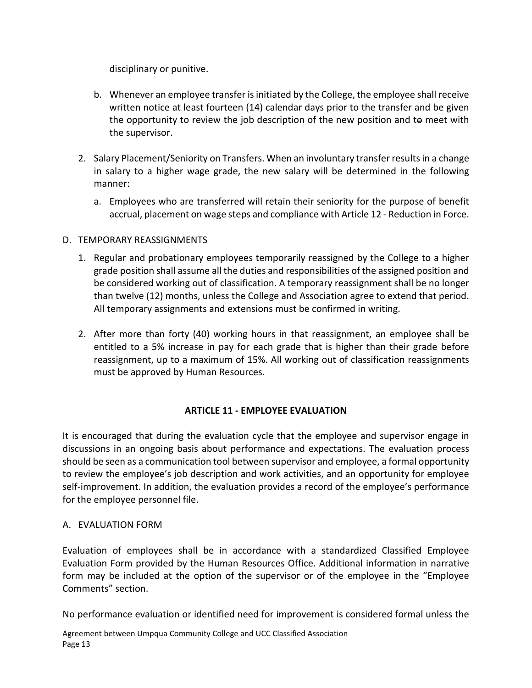disciplinary or punitive.

- b. Whenever an employee transfer is initiated by the College, the employee shall receive written notice at least fourteen (14) calendar days prior to the transfer and be given the opportunity to review the job description of the new position and to meet with the supervisor.
- 2. Salary Placement/Seniority on Transfers. When an involuntary transfer results in a change in salary to a higher wage grade, the new salary will be determined in the following manner:
	- a. Employees who are transferred will retain their seniority for the purpose of benefit accrual, placement on wage steps and compliance with Article 12 - Reduction in Force.

## D. TEMPORARY REASSIGNMENTS

- 1. Regular and probationary employees temporarily reassigned by the College to a higher grade position shall assume all the duties and responsibilities of the assigned position and be considered working out of classification. A temporary reassignment shall be no longer than twelve (12) months, unless the College and Association agree to extend that period. All temporary assignments and extensions must be confirmed in writing.
- 2. After more than forty (40) working hours in that reassignment, an employee shall be entitled to a 5% increase in pay for each grade that is higher than their grade before reassignment, up to a maximum of 15%. All working out of classification reassignments must be approved by Human Resources.

# **ARTICLE 11 - EMPLOYEE EVALUATION**

<span id="page-14-0"></span>It is encouraged that during the evaluation cycle that the employee and supervisor engage in discussions in an ongoing basis about performance and expectations. The evaluation process should be seen as a communication tool between supervisor and employee, a formal opportunity to review the employee's job description and work activities, and an opportunity for employee self-improvement. In addition, the evaluation provides a record of the employee's performance for the employee personnel file.

## A. EVALUATION FORM

Evaluation of employees shall be in accordance with a standardized Classified Employee Evaluation Form provided by the Human Resources Office. Additional information in narrative form may be included at the option of the supervisor or of the employee in the "Employee Comments" section.

No performance evaluation or identified need for improvement is considered formal unless the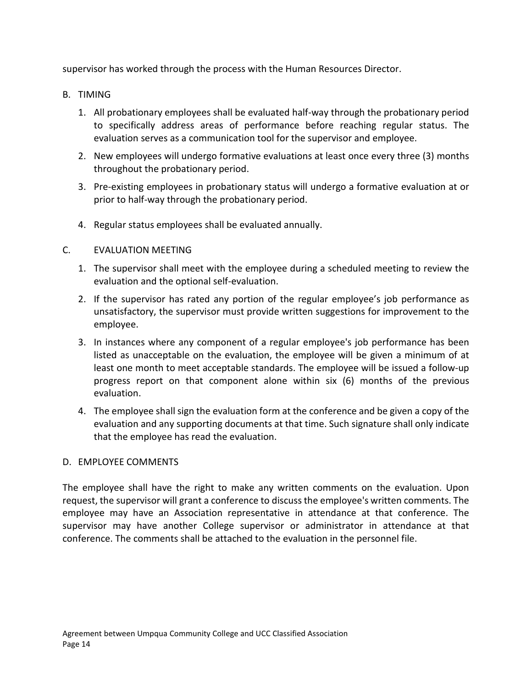supervisor has worked through the process with the Human Resources Director.

- B. TIMING
	- 1. All probationary employees shall be evaluated half-way through the probationary period to specifically address areas of performance before reaching regular status. The evaluation serves as a communication tool for the supervisor and employee.
	- 2. New employees will undergo formative evaluations at least once every three (3) months throughout the probationary period.
	- 3. Pre-existing employees in probationary status will undergo a formative evaluation at or prior to half-way through the probationary period.
	- 4. Regular status employees shall be evaluated annually.

## C. EVALUATION MEETING

- 1. The supervisor shall meet with the employee during a scheduled meeting to review the evaluation and the optional self-evaluation.
- 2. If the supervisor has rated any portion of the regular employee's job performance as unsatisfactory, the supervisor must provide written suggestions for improvement to the employee.
- 3. In instances where any component of a regular employee's job performance has been listed as unacceptable on the evaluation, the employee will be given a minimum of at least one month to meet acceptable standards. The employee will be issued a follow-up progress report on that component alone within six (6) months of the previous evaluation.
- 4. The employee shall sign the evaluation form at the conference and be given a copy of the evaluation and any supporting documents at that time. Such signature shall only indicate that the employee has read the evaluation.

## D. EMPLOYEE COMMENTS

The employee shall have the right to make any written comments on the evaluation. Upon request, the supervisor will grant a conference to discuss the employee's written comments. The employee may have an Association representative in attendance at that conference. The supervisor may have another College supervisor or administrator in attendance at that conference. The comments shall be attached to the evaluation in the personnel file.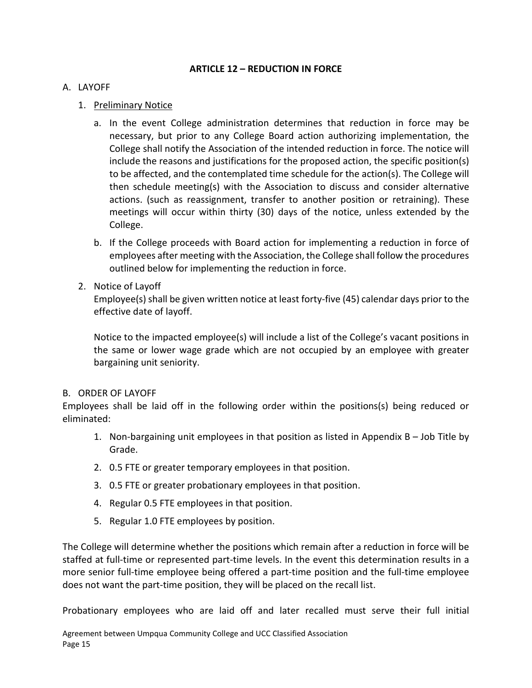### **ARTICLE 12 – REDUCTION IN FORCE**

### <span id="page-16-0"></span>A. LAYOFF

## 1. Preliminary Notice

- a. In the event College administration determines that reduction in force may be necessary, but prior to any College Board action authorizing implementation, the College shall notify the Association of the intended reduction in force. The notice will include the reasons and justifications for the proposed action, the specific position(s) to be affected, and the contemplated time schedule for the action(s). The College will then schedule meeting(s) with the Association to discuss and consider alternative actions. (such as reassignment, transfer to another position or retraining). These meetings will occur within thirty (30) days of the notice, unless extended by the College.
- b. If the College proceeds with Board action for implementing a reduction in force of employees after meeting with the Association, the College shall follow the procedures outlined below for implementing the reduction in force.
- 2. Notice of Layoff

Employee(s) shall be given written notice at least forty-five (45) calendar days prior to the effective date of layoff.

Notice to the impacted employee(s) will include a list of the College's vacant positions in the same or lower wage grade which are not occupied by an employee with greater bargaining unit seniority.

### B. ORDER OF LAYOFF

Employees shall be laid off in the following order within the positions(s) being reduced or eliminated:

- 1. Non-bargaining unit employees in that position as listed in Appendix B Job Title by Grade.
- 2. 0.5 FTE or greater temporary employees in that position.
- 3. 0.5 FTE or greater probationary employees in that position.
- 4. Regular 0.5 FTE employees in that position.
- 5. Regular 1.0 FTE employees by position.

The College will determine whether the positions which remain after a reduction in force will be staffed at full-time or represented part-time levels. In the event this determination results in a more senior full-time employee being offered a part-time position and the full-time employee does not want the part-time position, they will be placed on the recall list.

Probationary employees who are laid off and later recalled must serve their full initial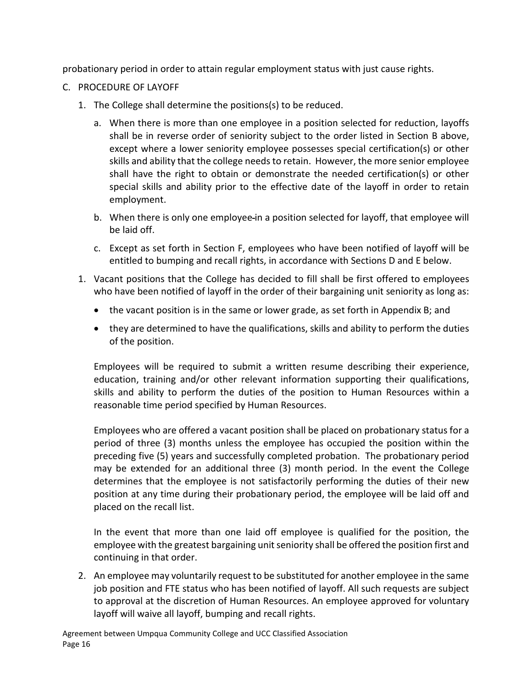probationary period in order to attain regular employment status with just cause rights.

- C. PROCEDURE OF LAYOFF
	- 1. The College shall determine the positions(s) to be reduced.
		- a. When there is more than one employee in a position selected for reduction, layoffs shall be in reverse order of seniority subject to the order listed in Section B above, except where a lower seniority employee possesses special certification(s) or other skills and ability that the college needs to retain. However, the more senior employee shall have the right to obtain or demonstrate the needed certification(s) or other special skills and ability prior to the effective date of the layoff in order to retain employment.
		- b. When there is only one employee in a position selected for layoff, that employee will be laid off.
		- c. Except as set forth in Section F, employees who have been notified of layoff will be entitled to bumping and recall rights, in accordance with Sections D and E below.
	- 1. Vacant positions that the College has decided to fill shall be first offered to employees who have been notified of layoff in the order of their bargaining unit seniority as long as:
		- the vacant position is in the same or lower grade, as set forth in Appendix B; and
		- they are determined to have the qualifications, skills and ability to perform the duties of the position.

Employees will be required to submit a written resume describing their experience, education, training and/or other relevant information supporting their qualifications, skills and ability to perform the duties of the position to Human Resources within a reasonable time period specified by Human Resources.

Employees who are offered a vacant position shall be placed on probationary status for a period of three (3) months unless the employee has occupied the position within the preceding five (5) years and successfully completed probation. The probationary period may be extended for an additional three (3) month period. In the event the College determines that the employee is not satisfactorily performing the duties of their new position at any time during their probationary period, the employee will be laid off and placed on the recall list.

In the event that more than one laid off employee is qualified for the position, the employee with the greatest bargaining unit seniority shall be offered the position first and continuing in that order.

2. An employee may voluntarily request to be substituted for another employee in the same job position and FTE status who has been notified of layoff. All such requests are subject to approval at the discretion of Human Resources. An employee approved for voluntary layoff will waive all layoff, bumping and recall rights.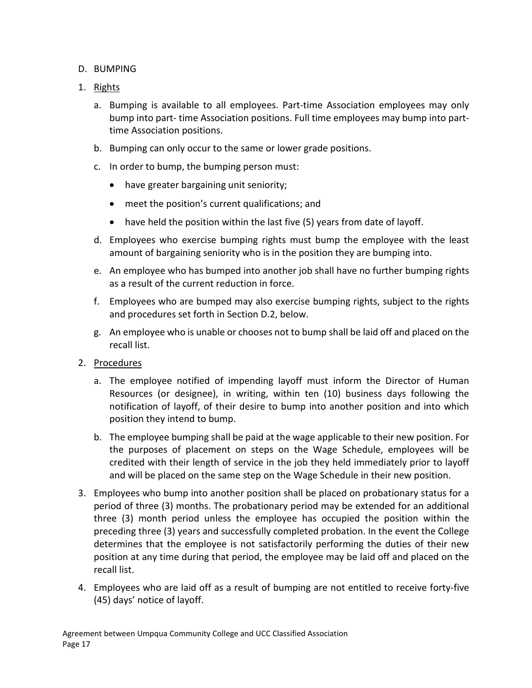## D. BUMPING

- 1. Rights
	- a. Bumping is available to all employees. Part-time Association employees may only bump into part- time Association positions. Full time employees may bump into parttime Association positions.
	- b. Bumping can only occur to the same or lower grade positions.
	- c. In order to bump, the bumping person must:
		- have greater bargaining unit seniority;
		- meet the position's current qualifications; and
		- have held the position within the last five (5) years from date of layoff.
	- d. Employees who exercise bumping rights must bump the employee with the least amount of bargaining seniority who is in the position they are bumping into.
	- e. An employee who has bumped into another job shall have no further bumping rights as a result of the current reduction in force.
	- f. Employees who are bumped may also exercise bumping rights, subject to the rights and procedures set forth in Section D.2, below.
	- g. An employee who is unable or chooses not to bump shall be laid off and placed on the recall list.
- 2. Procedures
	- a. The employee notified of impending layoff must inform the Director of Human Resources (or designee), in writing, within ten (10) business days following the notification of layoff, of their desire to bump into another position and into which position they intend to bump.
	- b. The employee bumping shall be paid at the wage applicable to their new position. For the purposes of placement on steps on the Wage Schedule, employees will be credited with their length of service in the job they held immediately prior to layoff and will be placed on the same step on the Wage Schedule in their new position.
- 3. Employees who bump into another position shall be placed on probationary status for a period of three (3) months. The probationary period may be extended for an additional three (3) month period unless the employee has occupied the position within the preceding three (3) years and successfully completed probation. In the event the College determines that the employee is not satisfactorily performing the duties of their new position at any time during that period, the employee may be laid off and placed on the recall list.
- 4. Employees who are laid off as a result of bumping are not entitled to receive forty-five (45) days' notice of layoff.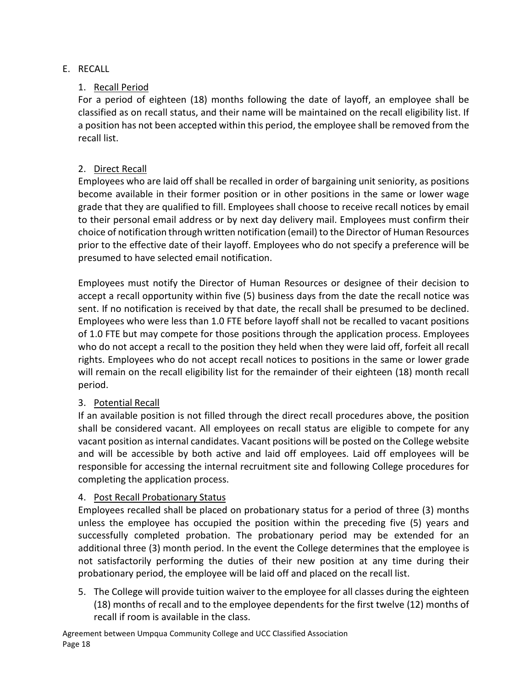## E. RECALL

## 1. Recall Period

For a period of eighteen (18) months following the date of layoff, an employee shall be classified as on recall status, and their name will be maintained on the recall eligibility list. If a position has not been accepted within this period, the employee shall be removed from the recall list.

## 2. Direct Recall

Employees who are laid off shall be recalled in order of bargaining unit seniority, as positions become available in their former position or in other positions in the same or lower wage grade that they are qualified to fill. Employees shall choose to receive recall notices by email to their personal email address or by next day delivery mail. Employees must confirm their choice of notification through written notification (email) to the Director of Human Resources prior to the effective date of their layoff. Employees who do not specify a preference will be presumed to have selected email notification.

Employees must notify the Director of Human Resources or designee of their decision to accept a recall opportunity within five (5) business days from the date the recall notice was sent. If no notification is received by that date, the recall shall be presumed to be declined. Employees who were less than 1.0 FTE before layoff shall not be recalled to vacant positions of 1.0 FTE but may compete for those positions through the application process. Employees who do not accept a recall to the position they held when they were laid off, forfeit all recall rights. Employees who do not accept recall notices to positions in the same or lower grade will remain on the recall eligibility list for the remainder of their eighteen (18) month recall period.

# 3. Potential Recall

If an available position is not filled through the direct recall procedures above, the position shall be considered vacant. All employees on recall status are eligible to compete for any vacant position as internal candidates. Vacant positions will be posted on the College website and will be accessible by both active and laid off employees. Laid off employees will be responsible for accessing the internal recruitment site and following College procedures for completing the application process.

## 4. Post Recall Probationary Status

Employees recalled shall be placed on probationary status for a period of three (3) months unless the employee has occupied the position within the preceding five (5) years and successfully completed probation. The probationary period may be extended for an additional three (3) month period. In the event the College determines that the employee is not satisfactorily performing the duties of their new position at any time during their probationary period, the employee will be laid off and placed on the recall list.

5. The College will provide tuition waiver to the employee for all classes during the eighteen (18) months of recall and to the employee dependents for the first twelve (12) months of recall if room is available in the class.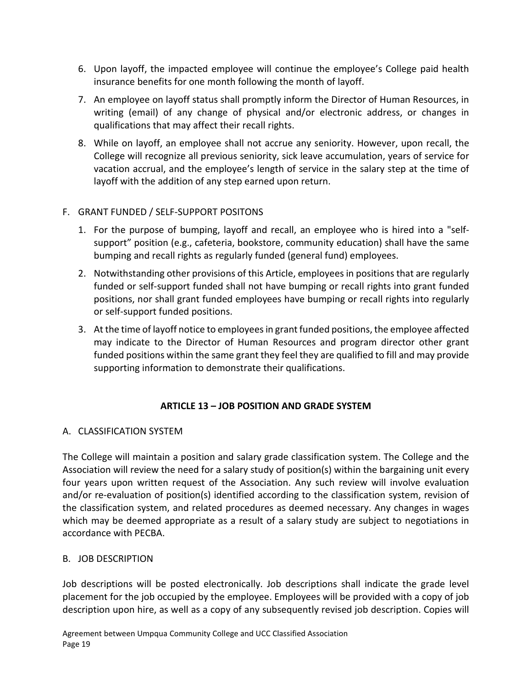- 6. Upon layoff, the impacted employee will continue the employee's College paid health insurance benefits for one month following the month of layoff.
- 7. An employee on layoff status shall promptly inform the Director of Human Resources, in writing (email) of any change of physical and/or electronic address, or changes in qualifications that may affect their recall rights.
- 8. While on layoff, an employee shall not accrue any seniority. However, upon recall, the College will recognize all previous seniority, sick leave accumulation, years of service for vacation accrual, and the employee's length of service in the salary step at the time of layoff with the addition of any step earned upon return.

## F. GRANT FUNDED / SELF-SUPPORT POSITONS

- 1. For the purpose of bumping, layoff and recall, an employee who is hired into a "selfsupport" position (e.g., cafeteria, bookstore, community education) shall have the same bumping and recall rights as regularly funded (general fund) employees.
- 2. Notwithstanding other provisions of this Article, employees in positions that are regularly funded or self-support funded shall not have bumping or recall rights into grant funded positions, nor shall grant funded employees have bumping or recall rights into regularly or self-support funded positions.
- 3. At the time of layoff notice to employees in grant funded positions, the employee affected may indicate to the Director of Human Resources and program director other grant funded positions within the same grant they feel they are qualified to fill and may provide supporting information to demonstrate their qualifications.

## **ARTICLE 13 – JOB POSITION AND GRADE SYSTEM**

## <span id="page-20-0"></span>A. CLASSIFICATION SYSTEM

The College will maintain a position and salary grade classification system. The College and the Association will review the need for a salary study of position(s) within the bargaining unit every four years upon written request of the Association. Any such review will involve evaluation and/or re-evaluation of position(s) identified according to the classification system, revision of the classification system, and related procedures as deemed necessary. Any changes in wages which may be deemed appropriate as a result of a salary study are subject to negotiations in accordance with PECBA.

## B. JOB DESCRIPTION

Job descriptions will be posted electronically. Job descriptions shall indicate the grade level placement for the job occupied by the employee. Employees will be provided with a copy of job description upon hire, as well as a copy of any subsequently revised job description. Copies will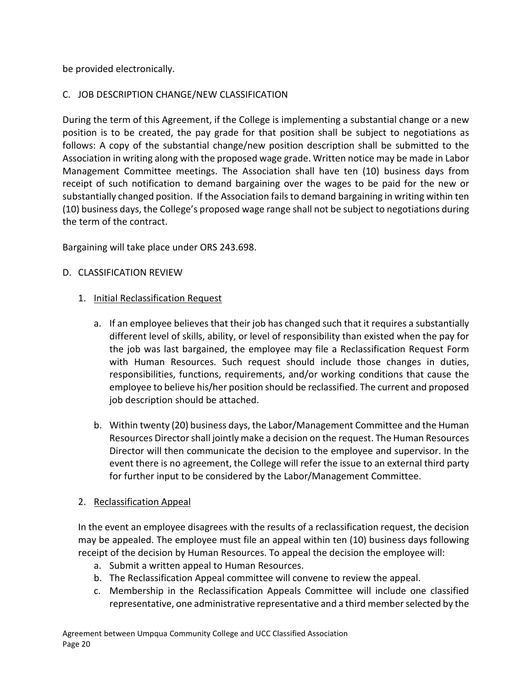be provided electronically.

## C. JOB DESCRIPTION CHANGE/NEW CLASSIFICATION

During the term of this Agreement, if the College is implementing a substantial change or a new position is to be created, the pay grade for that position shall be subject to negotiations as follows: A copy of the substantial change/new position description shall be submitted to the Association in writing along with the proposed wage grade. Written notice may be made in Labor Management Committee meetings. The Association shall have ten (10) business days from receipt of such notification to demand bargaining over the wages to be paid for the new or substantially changed position. If the Association fails to demand bargaining in writing within ten (10) business days, the College's proposed wage range shall not be subject to negotiations during the term of the contract.

Bargaining will take place under ORS 243.698.

## D. CLASSIFICATION REVIEW

## 1. Initial Reclassification Request

- a. If an employee believes that their job has changed such that it requires a substantially different level of skills, ability, or level of responsibility than existed when the pay for the job was last bargained, the employee may file a Reclassification Request Form with Human Resources. Such request should include those changes in duties, responsibilities, functions, requirements, and/or working conditions that cause the employee to believe his/her position should be reclassified. The current and proposed job description should be attached.
- b. Within twenty (20) business days, the Labor/Management Committee and the Human Resources Director shall jointly make a decision on the request. The Human Resources Director will then communicate the decision to the employee and supervisor. In the event there is no agreement, the College will refer the issue to an external third party for further input to be considered by the Labor/Management Committee.

## 2. Reclassification Appeal

In the event an employee disagrees with the results of a reclassification request, the decision may be appealed. The employee must file an appeal within ten (10) business days following receipt of the decision by Human Resources. To appeal the decision the employee will:

- a. Submit a written appeal to Human Resources.
- b. The Reclassification Appeal committee will convene to review the appeal.
- c. Membership in the Reclassification Appeals Committee will include one classified representative, one administrative representative and a third member selected by the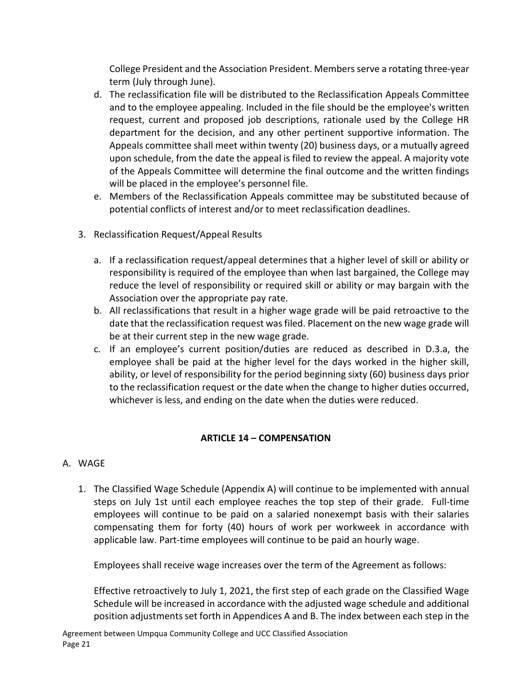College President and the Association President. Members serve a rotating three-year term (July through June).

- d. The reclassification file will be distributed to the Reclassification Appeals Committee and to the employee appealing. Included in the file should be the employee's written request, current and proposed job descriptions, rationale used by the College HR department for the decision, and any other pertinent supportive information. The Appeals committee shall meet within twenty (20) business days, or a mutually agreed upon schedule, from the date the appeal is filed to review the appeal. A majority vote of the Appeals Committee will determine the final outcome and the written findings will be placed in the employee's personnel file.
- e. Members of the Reclassification Appeals committee may be substituted because of potential conflicts of interest and/or to meet reclassification deadlines.
- 3. Reclassification Request/Appeal Results
	- a. If a reclassification request/appeal determines that a higher level of skill or ability or responsibility is required of the employee than when last bargained, the College may reduce the level of responsibility or required skill or ability or may bargain with the Association over the appropriate pay rate.
	- b. All reclassifications that result in a higher wage grade will be paid retroactive to the date that the reclassification request was filed. Placement on the new wage grade will be at their current step in the new wage grade.
	- c. If an employee's current position/duties are reduced as described in D.3.a, the employee shall be paid at the higher level for the days worked in the higher skill, ability, or level of responsibility for the period beginning sixty (60) business days prior to the reclassification request or the date when the change to higher duties occurred, whichever is less, and ending on the date when the duties were reduced.

## **ARTICLE 14 – COMPENSATION**

## <span id="page-22-0"></span>A. WAGE

1. The Classified Wage Schedule (Appendix A) will continue to be implemented with annual steps on July 1st until each employee reaches the top step of their grade. Full-time employees will continue to be paid on a salaried nonexempt basis with their salaries compensating them for forty (40) hours of work per workweek in accordance with applicable law. Part-time employees will continue to be paid an hourly wage.

Employees shall receive wage increases over the term of the Agreement as follows:

Effective retroactively to July 1, 2021, the first step of each grade on the Classified Wage Schedule will be increased in accordance with the adjusted wage schedule and additional position adjustments set forth in Appendices A and B. The index between each step in the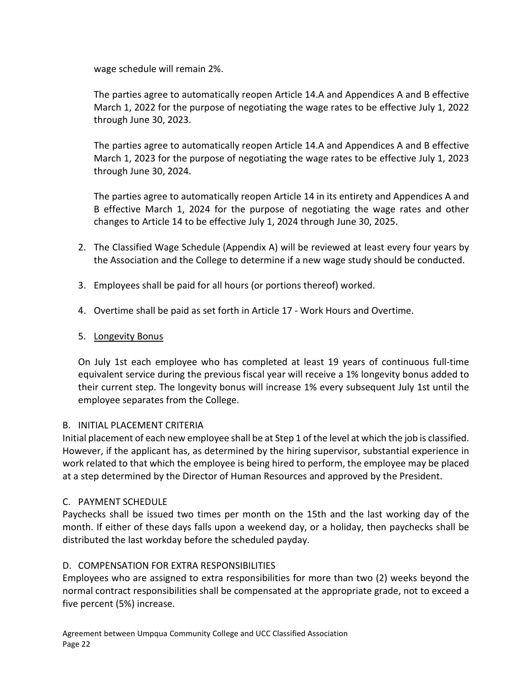wage schedule will remain 2%.

The parties agree to automatically reopen Article 14.A and Appendices A and B effective March 1, 2022 for the purpose of negotiating the wage rates to be effective July 1, 2022 through June 30, 2023.

The parties agree to automatically reopen Article 14.A and Appendices A and B effective March 1, 2023 for the purpose of negotiating the wage rates to be effective July 1, 2023 through June 30, 2024.

The parties agree to automatically reopen Article 14 in its entirety and Appendices A and B effective March 1, 2024 for the purpose of negotiating the wage rates and other changes to Article 14 to be effective July 1, 2024 through June 30, 2025.

- 2. The Classified Wage Schedule (Appendix A) will be reviewed at least every four years by the Association and the College to determine if a new wage study should be conducted.
- 3. Employees shall be paid for all hours (or portions thereof) worked.
- 4. Overtime shall be paid as set forth in Article 17 Work Hours and Overtime.

## 5. Longevity Bonus

On July 1st each employee who has completed at least 19 years of continuous full-time equivalent service during the previous fiscal year will receive a 1% longevity bonus added to their current step. The longevity bonus will increase 1% every subsequent July 1st until the employee separates from the College.

## B. INITIAL PLACEMENT CRITERIA

Initial placement of each new employee shall be at Step 1 of the level at which the job is classified. However, if the applicant has, as determined by the hiring supervisor, substantial experience in work related to that which the employee is being hired to perform, the employee may be placed at a step determined by the Director of Human Resources and approved by the President.

## C. PAYMENT SCHEDULE

Paychecks shall be issued two times per month on the 15th and the last working day of the month. If either of these days falls upon a weekend day, or a holiday, then paychecks shall be distributed the last workday before the scheduled payday.

## D. COMPENSATION FOR EXTRA RESPONSIBILITIES

Employees who are assigned to extra responsibilities for more than two (2) weeks beyond the normal contract responsibilities shall be compensated at the appropriate grade, not to exceed a five percent (5%) increase.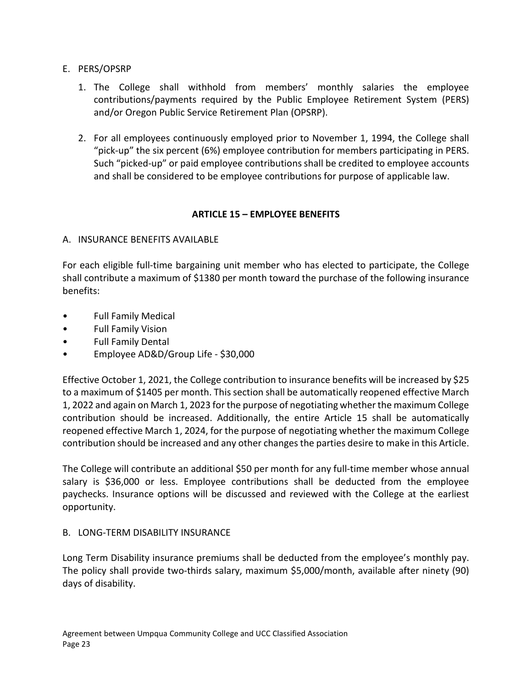- E. PERS/OPSRP
	- 1. The College shall withhold from members' monthly salaries the employee contributions/payments required by the Public Employee Retirement System (PERS) and/or Oregon Public Service Retirement Plan (OPSRP).
	- 2. For all employees continuously employed prior to November 1, 1994, the College shall "pick-up" the six percent (6%) employee contribution for members participating in PERS. Such "picked-up" or paid employee contributions shall be credited to employee accounts and shall be considered to be employee contributions for purpose of applicable law.

## **ARTICLE 15 – EMPLOYEE BENEFITS**

## <span id="page-24-0"></span>A. INSURANCE BENEFITS AVAILABLE

For each eligible full-time bargaining unit member who has elected to participate, the College shall contribute a maximum of \$1380 per month toward the purchase of the following insurance benefits:

- Full Family Medical
- Full Family Vision
- Full Family Dental
- Employee AD&D/Group Life \$30,000

Effective October 1, 2021, the College contribution to insurance benefits will be increased by \$25 to a maximum of \$1405 per month. This section shall be automatically reopened effective March 1, 2022 and again on March 1, 2023 for the purpose of negotiating whether the maximum College contribution should be increased. Additionally, the entire Article 15 shall be automatically reopened effective March 1, 2024, for the purpose of negotiating whether the maximum College contribution should be increased and any other changes the parties desire to make in this Article.

The College will contribute an additional \$50 per month for any full-time member whose annual salary is \$36,000 or less. Employee contributions shall be deducted from the employee paychecks. Insurance options will be discussed and reviewed with the College at the earliest opportunity.

## B. LONG-TERM DISABILITY INSURANCE

Long Term Disability insurance premiums shall be deducted from the employee's monthly pay. The policy shall provide two-thirds salary, maximum \$5,000/month, available after ninety (90) days of disability.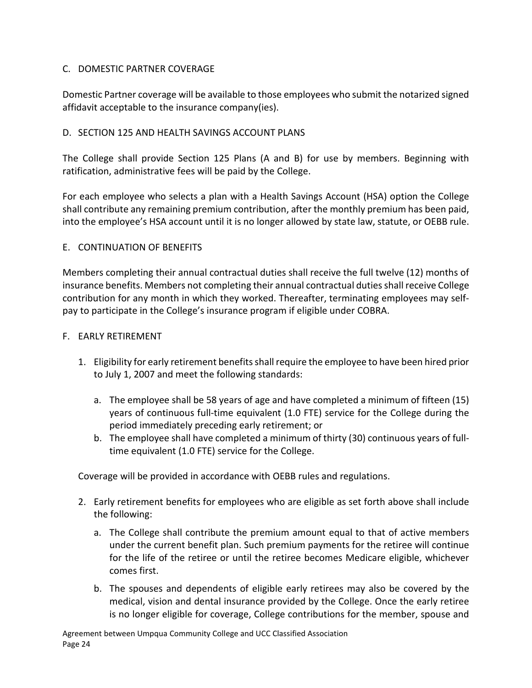## C. DOMESTIC PARTNER COVERAGE

Domestic Partner coverage will be available to those employees who submit the notarized signed affidavit acceptable to the insurance company(ies).

### D. SECTION 125 AND HEALTH SAVINGS ACCOUNT PLANS

The College shall provide Section 125 Plans (A and B) for use by members. Beginning with ratification, administrative fees will be paid by the College.

For each employee who selects a plan with a Health Savings Account (HSA) option the College shall contribute any remaining premium contribution, after the monthly premium has been paid, into the employee's HSA account until it is no longer allowed by state law, statute, or OEBB rule.

### E. CONTINUATION OF BENEFITS

Members completing their annual contractual duties shall receive the full twelve (12) months of insurance benefits. Members not completing their annual contractual duties shall receive College contribution for any month in which they worked. Thereafter, terminating employees may selfpay to participate in the College's insurance program if eligible under COBRA.

### F. EARLY RETIREMENT

- 1. Eligibility for early retirement benefits shall require the employee to have been hired prior to July 1, 2007 and meet the following standards:
	- a. The employee shall be 58 years of age and have completed a minimum of fifteen (15) years of continuous full-time equivalent (1.0 FTE) service for the College during the period immediately preceding early retirement; or
	- b. The employee shall have completed a minimum of thirty (30) continuous years of fulltime equivalent (1.0 FTE) service for the College.

Coverage will be provided in accordance with OEBB rules and regulations.

- 2. Early retirement benefits for employees who are eligible as set forth above shall include the following:
	- a. The College shall contribute the premium amount equal to that of active members under the current benefit plan. Such premium payments for the retiree will continue for the life of the retiree or until the retiree becomes Medicare eligible, whichever comes first.
	- b. The spouses and dependents of eligible early retirees may also be covered by the medical, vision and dental insurance provided by the College. Once the early retiree is no longer eligible for coverage, College contributions for the member, spouse and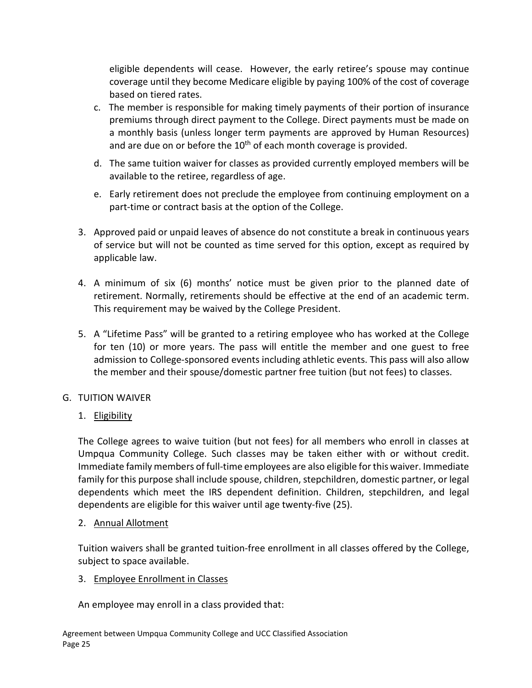eligible dependents will cease. However, the early retiree's spouse may continue coverage until they become Medicare eligible by paying 100% of the cost of coverage based on tiered rates.

- c. The member is responsible for making timely payments of their portion of insurance premiums through direct payment to the College. Direct payments must be made on a monthly basis (unless longer term payments are approved by Human Resources) and are due on or before the  $10<sup>th</sup>$  of each month coverage is provided.
- d. The same tuition waiver for classes as provided currently employed members will be available to the retiree, regardless of age.
- e. Early retirement does not preclude the employee from continuing employment on a part-time or contract basis at the option of the College.
- 3. Approved paid or unpaid leaves of absence do not constitute a break in continuous years of service but will not be counted as time served for this option, except as required by applicable law.
- 4. A minimum of six (6) months' notice must be given prior to the planned date of retirement. Normally, retirements should be effective at the end of an academic term. This requirement may be waived by the College President.
- 5. A "Lifetime Pass" will be granted to a retiring employee who has worked at the College for ten (10) or more years. The pass will entitle the member and one guest to free admission to College-sponsored events including athletic events. This pass will also allow the member and their spouse/domestic partner free tuition (but not fees) to classes.

## G. TUITION WAIVER

1. Eligibility

The College agrees to waive tuition (but not fees) for all members who enroll in classes at Umpqua Community College. Such classes may be taken either with or without credit. Immediate family members of full-time employees are also eligible for this waiver. Immediate family for this purpose shall include spouse, children, stepchildren, domestic partner, or legal dependents which meet the IRS dependent definition. Children, stepchildren, and legal dependents are eligible for this waiver until age twenty-five (25).

## 2. Annual Allotment

Tuition waivers shall be granted tuition-free enrollment in all classes offered by the College, subject to space available.

## 3. Employee Enrollment in Classes

An employee may enroll in a class provided that: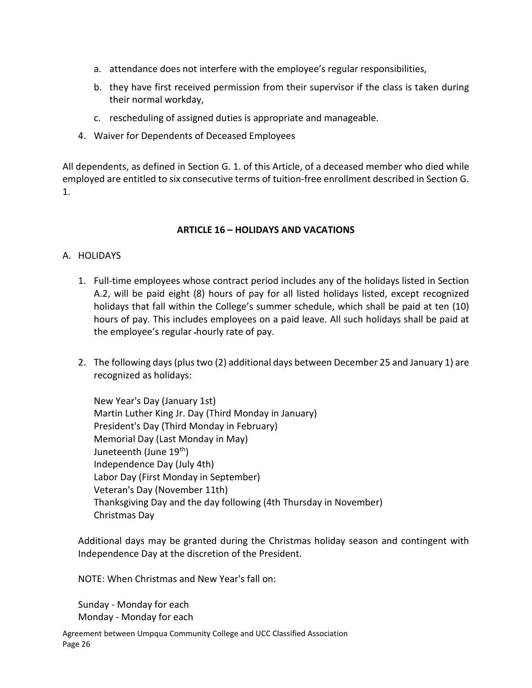- a. attendance does not interfere with the employee's regular responsibilities,
- b. they have first received permission from their supervisor if the class is taken during their normal workday,
- c. rescheduling of assigned duties is appropriate and manageable.
- 4. Waiver for Dependents of Deceased Employees

All dependents, as defined in Section G. 1. of this Article, of a deceased member who died while employed are entitled to six consecutive terms of tuition-free enrollment described in Section G. 1.

### **ARTICLE 16 – HOLIDAYS AND VACATIONS**

### <span id="page-27-0"></span>A. HOLIDAYS

- 1. Full-time employees whose contract period includes any of the holidays listed in Section A.2, will be paid eight (8) hours of pay for all listed holidays listed, except recognized holidays that fall within the College's summer schedule, which shall be paid at ten (10) hours of pay. This includes employees on a paid leave. All such holidays shall be paid at the employee's regular hourly rate of pay.
- 2. The following days (plus two (2) additional days between December 25 and January 1) are recognized as holidays:

New Year's Day (January 1st) Martin Luther King Jr. Day (Third Monday in January) President's Day (Third Monday in February) Memorial Day (Last Monday in May) Juneteenth (June 19<sup>th</sup>) Independence Day (July 4th) Labor Day (First Monday in September) Veteran's Day (November 11th) Thanksgiving Day and the day following (4th Thursday in November) Christmas Day

Additional days may be granted during the Christmas holiday season and contingent with Independence Day at the discretion of the President.

NOTE: When Christmas and New Year's fall on:

Sunday - Monday for each Monday - Monday for each

Agreement between Umpqua Community College and UCC Classified Association Page 26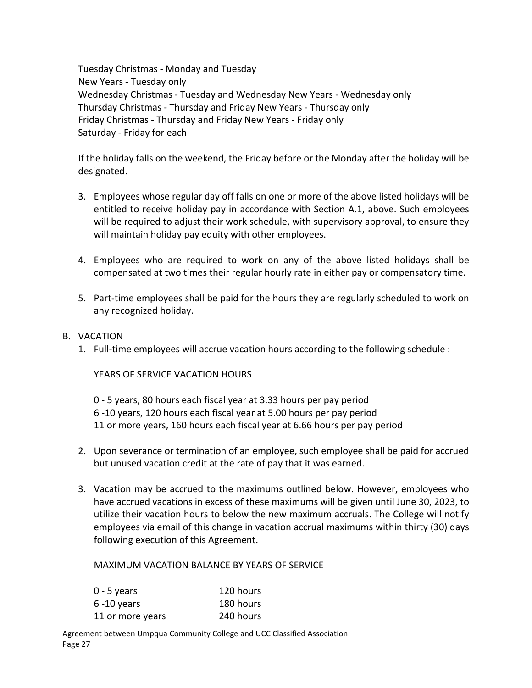Tuesday Christmas - Monday and Tuesday New Years - Tuesday only Wednesday Christmas - Tuesday and Wednesday New Years - Wednesday only Thursday Christmas - Thursday and Friday New Years - Thursday only Friday Christmas - Thursday and Friday New Years - Friday only Saturday - Friday for each

If the holiday falls on the weekend, the Friday before or the Monday after the holiday will be designated.

- 3. Employees whose regular day off falls on one or more of the above listed holidays will be entitled to receive holiday pay in accordance with Section A.1, above. Such employees will be required to adjust their work schedule, with supervisory approval, to ensure they will maintain holiday pay equity with other employees.
- 4. Employees who are required to work on any of the above listed holidays shall be compensated at two times their regular hourly rate in either pay or compensatory time.
- 5. Part-time employees shall be paid for the hours they are regularly scheduled to work on any recognized holiday.
- B. VACATION
	- 1. Full-time employees will accrue vacation hours according to the following schedule :

YEARS OF SERVICE VACATION HOURS

0 - 5 years, 80 hours each fiscal year at 3.33 hours per pay period 6 -10 years, 120 hours each fiscal year at 5.00 hours per pay period 11 or more years, 160 hours each fiscal year at 6.66 hours per pay period

- 2. Upon severance or termination of an employee, such employee shall be paid for accrued but unused vacation credit at the rate of pay that it was earned.
- 3. Vacation may be accrued to the maximums outlined below. However, employees who have accrued vacations in excess of these maximums will be given until June 30, 2023, to utilize their vacation hours to below the new maximum accruals. The College will notify employees via email of this change in vacation accrual maximums within thirty (30) days following execution of this Agreement.

MAXIMUM VACATION BALANCE BY YEARS OF SERVICE

| $0 - 5$ years    | 120 hours |
|------------------|-----------|
| $6 - 10$ years   | 180 hours |
| 11 or more years | 240 hours |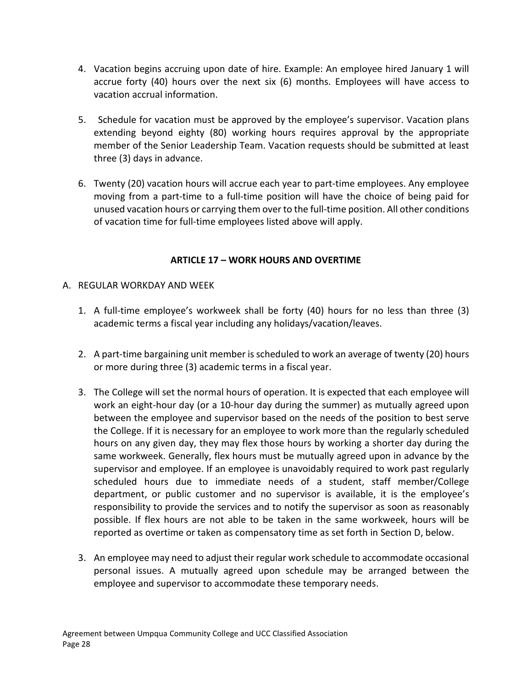- 4. Vacation begins accruing upon date of hire. Example: An employee hired January 1 will accrue forty (40) hours over the next six (6) months. Employees will have access to vacation accrual information.
- 5. Schedule for vacation must be approved by the employee's supervisor. Vacation plans extending beyond eighty (80) working hours requires approval by the appropriate member of the Senior Leadership Team. Vacation requests should be submitted at least three (3) days in advance.
- 6. Twenty (20) vacation hours will accrue each year to part-time employees. Any employee moving from a part-time to a full-time position will have the choice of being paid for unused vacation hours or carrying them over to the full-time position. All other conditions of vacation time for full-time employees listed above will apply.

## **ARTICLE 17 – WORK HOURS AND OVERTIME**

- <span id="page-29-0"></span>A. REGULAR WORKDAY AND WEEK
	- 1. A full-time employee's workweek shall be forty (40) hours for no less than three (3) academic terms a fiscal year including any holidays/vacation/leaves.
	- 2. A part-time bargaining unit member is scheduled to work an average of twenty (20) hours or more during three (3) academic terms in a fiscal year.
	- 3. The College will set the normal hours of operation. It is expected that each employee will work an eight-hour day (or a 10-hour day during the summer) as mutually agreed upon between the employee and supervisor based on the needs of the position to best serve the College. If it is necessary for an employee to work more than the regularly scheduled hours on any given day, they may flex those hours by working a shorter day during the same workweek. Generally, flex hours must be mutually agreed upon in advance by the supervisor and employee. If an employee is unavoidably required to work past regularly scheduled hours due to immediate needs of a student, staff member/College department, or public customer and no supervisor is available, it is the employee's responsibility to provide the services and to notify the supervisor as soon as reasonably possible. If flex hours are not able to be taken in the same workweek, hours will be reported as overtime or taken as compensatory time as set forth in Section D, below.
	- 3. An employee may need to adjust their regular work schedule to accommodate occasional personal issues. A mutually agreed upon schedule may be arranged between the employee and supervisor to accommodate these temporary needs.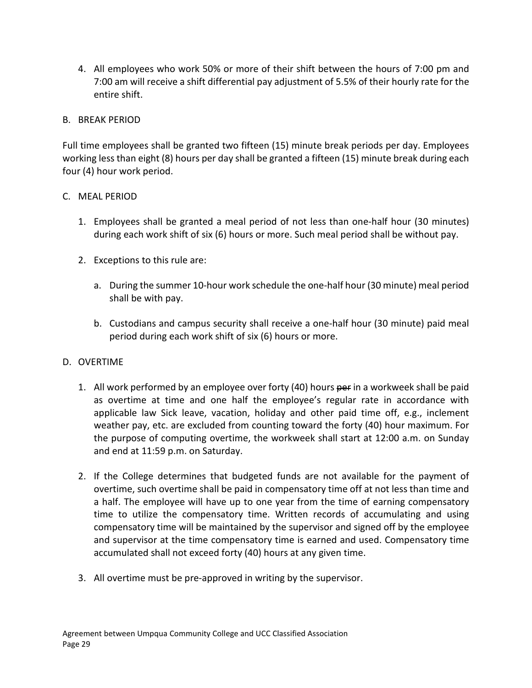4. All employees who work 50% or more of their shift between the hours of 7:00 pm and 7:00 am will receive a shift differential pay adjustment of 5.5% of their hourly rate for the entire shift.

## B. BREAK PERIOD

Full time employees shall be granted two fifteen (15) minute break periods per day. Employees working less than eight (8) hours per day shall be granted a fifteen (15) minute break during each four (4) hour work period.

## C. MEAL PERIOD

- 1. Employees shall be granted a meal period of not less than one-half hour (30 minutes) during each work shift of six (6) hours or more. Such meal period shall be without pay.
- 2. Exceptions to this rule are:
	- a. During the summer 10-hour work schedule the one-half hour (30 minute) meal period shall be with pay.
	- b. Custodians and campus security shall receive a one-half hour (30 minute) paid meal period during each work shift of six (6) hours or more.

## D. OVERTIME

- 1. All work performed by an employee over forty (40) hours per in a workweek shall be paid as overtime at time and one half the employee's regular rate in accordance with applicable law Sick leave, vacation, holiday and other paid time off, e.g., inclement weather pay, etc. are excluded from counting toward the forty (40) hour maximum. For the purpose of computing overtime, the workweek shall start at 12:00 a.m. on Sunday and end at 11:59 p.m. on Saturday.
- 2. If the College determines that budgeted funds are not available for the payment of overtime, such overtime shall be paid in compensatory time off at not less than time and a half. The employee will have up to one year from the time of earning compensatory time to utilize the compensatory time. Written records of accumulating and using compensatory time will be maintained by the supervisor and signed off by the employee and supervisor at the time compensatory time is earned and used. Compensatory time accumulated shall not exceed forty (40) hours at any given time.
- 3. All overtime must be pre-approved in writing by the supervisor.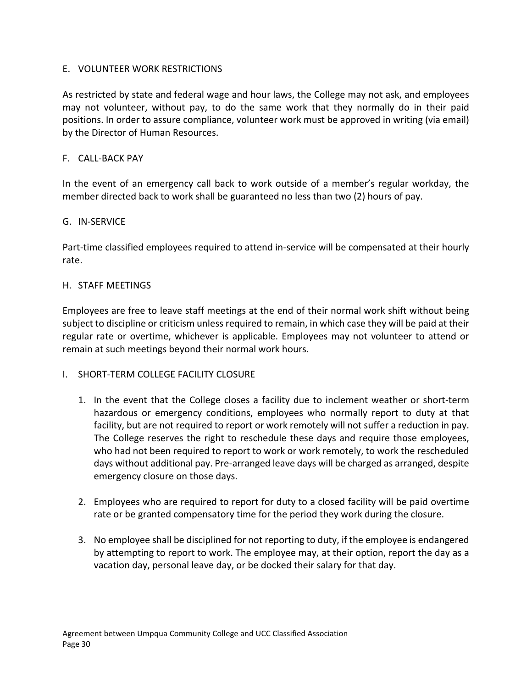## E. VOLUNTEER WORK RESTRICTIONS

As restricted by state and federal wage and hour laws, the College may not ask, and employees may not volunteer, without pay, to do the same work that they normally do in their paid positions. In order to assure compliance, volunteer work must be approved in writing (via email) by the Director of Human Resources.

### F. CALL-BACK PAY

In the event of an emergency call back to work outside of a member's regular workday, the member directed back to work shall be guaranteed no less than two (2) hours of pay.

### G. IN-SERVICE

Part-time classified employees required to attend in-service will be compensated at their hourly rate.

### H. STAFF MEETINGS

Employees are free to leave staff meetings at the end of their normal work shift without being subject to discipline or criticism unless required to remain, in which case they will be paid at their regular rate or overtime, whichever is applicable. Employees may not volunteer to attend or remain at such meetings beyond their normal work hours.

### I. SHORT-TERM COLLEGE FACILITY CLOSURE

- 1. In the event that the College closes a facility due to inclement weather or short-term hazardous or emergency conditions, employees who normally report to duty at that facility, but are not required to report or work remotely will not suffer a reduction in pay. The College reserves the right to reschedule these days and require those employees, who had not been required to report to work or work remotely, to work the rescheduled days without additional pay. Pre-arranged leave days will be charged as arranged, despite emergency closure on those days.
- 2. Employees who are required to report for duty to a closed facility will be paid overtime rate or be granted compensatory time for the period they work during the closure.
- 3. No employee shall be disciplined for not reporting to duty, if the employee is endangered by attempting to report to work. The employee may, at their option, report the day as a vacation day, personal leave day, or be docked their salary for that day.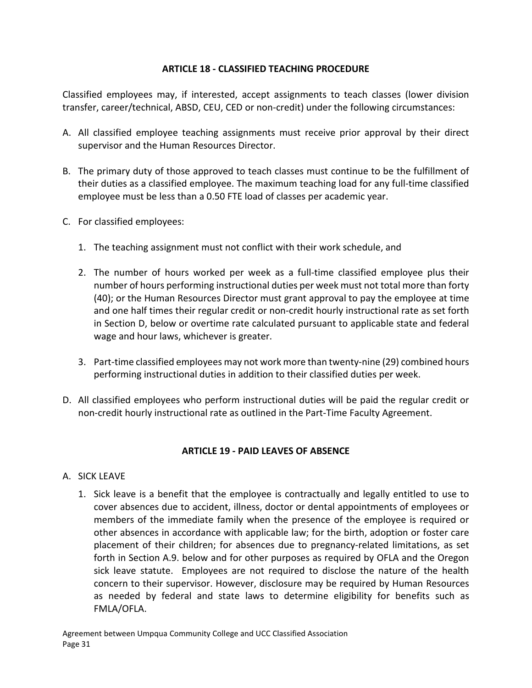## **ARTICLE 18 - CLASSIFIED TEACHING PROCEDURE**

<span id="page-32-0"></span>Classified employees may, if interested, accept assignments to teach classes (lower division transfer, career/technical, ABSD, CEU, CED or non-credit) under the following circumstances:

- A. All classified employee teaching assignments must receive prior approval by their direct supervisor and the Human Resources Director.
- B. The primary duty of those approved to teach classes must continue to be the fulfillment of their duties as a classified employee. The maximum teaching load for any full-time classified employee must be less than a 0.50 FTE load of classes per academic year.
- C. For classified employees:
	- 1. The teaching assignment must not conflict with their work schedule, and
	- 2. The number of hours worked per week as a full-time classified employee plus their number of hours performing instructional duties per week must not total more than forty (40); or the Human Resources Director must grant approval to pay the employee at time and one half times their regular credit or non-credit hourly instructional rate as set forth in Section D, below or overtime rate calculated pursuant to applicable state and federal wage and hour laws, whichever is greater.
	- 3. Part-time classified employees may not work more than twenty-nine (29) combined hours performing instructional duties in addition to their classified duties per week.
- D. All classified employees who perform instructional duties will be paid the regular credit or non-credit hourly instructional rate as outlined in the Part-Time Faculty Agreement.

## **ARTICLE 19 - PAID LEAVES OF ABSENCE**

## <span id="page-32-1"></span>A. SICK LEAVE

1. Sick leave is a benefit that the employee is contractually and legally entitled to use to cover absences due to accident, illness, doctor or dental appointments of employees or members of the immediate family when the presence of the employee is required or other absences in accordance with applicable law; for the birth, adoption or foster care placement of their children; for absences due to pregnancy-related limitations, as set forth in Section A.9. below and for other purposes as required by OFLA and the Oregon sick leave statute. Employees are not required to disclose the nature of the health concern to their supervisor. However, disclosure may be required by Human Resources as needed by federal and state laws to determine eligibility for benefits such as FMLA/OFLA.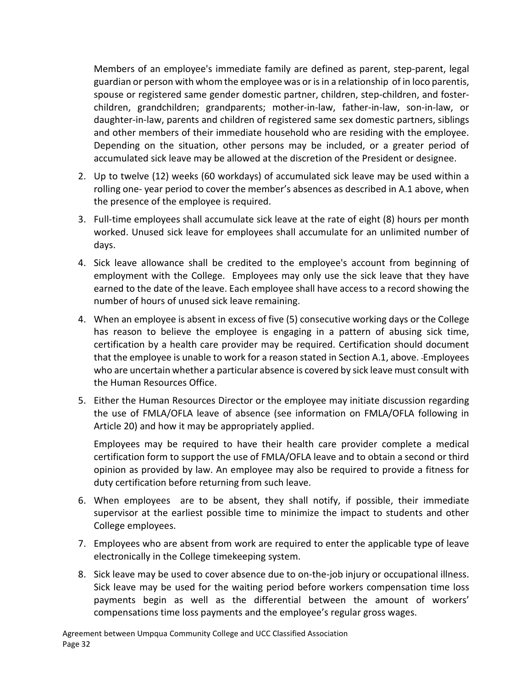Members of an employee's immediate family are defined as parent, step-parent, legal guardian or person with whom the employee was or is in a relationship of in loco parentis, spouse or registered same gender domestic partner, children, step-children, and fosterchildren, grandchildren; grandparents; mother-in-law, father-in-law, son-in-law, or daughter-in-law, parents and children of registered same sex domestic partners, siblings and other members of their immediate household who are residing with the employee. Depending on the situation, other persons may be included, or a greater period of accumulated sick leave may be allowed at the discretion of the President or designee.

- 2. Up to twelve (12) weeks (60 workdays) of accumulated sick leave may be used within a rolling one- year period to cover the member's absences as described in A.1 above, when the presence of the employee is required.
- 3. Full-time employees shall accumulate sick leave at the rate of eight (8) hours per month worked. Unused sick leave for employees shall accumulate for an unlimited number of days.
- 4. Sick leave allowance shall be credited to the employee's account from beginning of employment with the College. Employees may only use the sick leave that they have earned to the date of the leave. Each employee shall have access to a record showing the number of hours of unused sick leave remaining.
- 4. When an employee is absent in excess of five (5) consecutive working days or the College has reason to believe the employee is engaging in a pattern of abusing sick time, certification by a health care provider may be required. Certification should document that the employee is unable to work for a reason stated in Section A.1, above. Employees who are uncertain whether a particular absence is covered by sick leave must consult with the Human Resources Office.
- 5. Either the Human Resources Director or the employee may initiate discussion regarding the use of FMLA/OFLA leave of absence (see information on FMLA/OFLA following in Article 20) and how it may be appropriately applied.

Employees may be required to have their health care provider complete a medical certification form to support the use of FMLA/OFLA leave and to obtain a second or third opinion as provided by law. An employee may also be required to provide a fitness for duty certification before returning from such leave.

- 6. When employees are to be absent, they shall notify, if possible, their immediate supervisor at the earliest possible time to minimize the impact to students and other College employees.
- 7. Employees who are absent from work are required to enter the applicable type of leave electronically in the College timekeeping system.
- 8. Sick leave may be used to cover absence due to on-the-job injury or occupational illness. Sick leave may be used for the waiting period before workers compensation time loss payments begin as well as the differential between the amount of workers' compensations time loss payments and the employee's regular gross wages.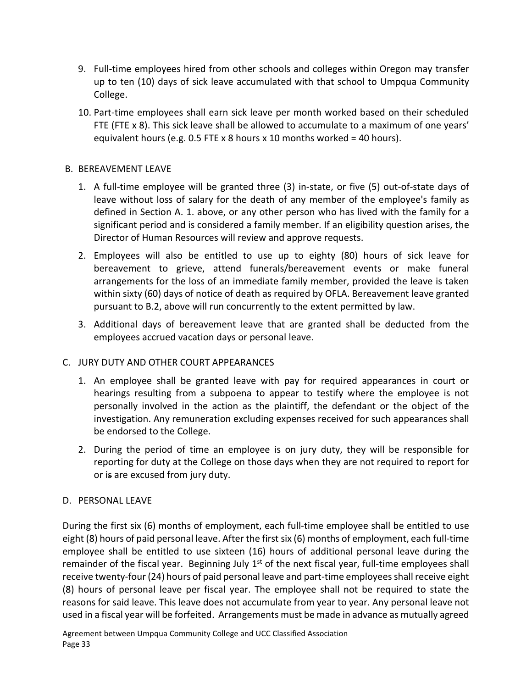- 9. Full-time employees hired from other schools and colleges within Oregon may transfer up to ten (10) days of sick leave accumulated with that school to Umpqua Community College.
- 10. Part-time employees shall earn sick leave per month worked based on their scheduled FTE (FTE x 8). This sick leave shall be allowed to accumulate to a maximum of one years' equivalent hours (e.g. 0.5 FTE x 8 hours x 10 months worked = 40 hours).

## B. BEREAVEMENT LEAVE

- 1. A full-time employee will be granted three (3) in-state, or five (5) out-of-state days of leave without loss of salary for the death of any member of the employee's family as defined in Section A. 1. above, or any other person who has lived with the family for a significant period and is considered a family member. If an eligibility question arises, the Director of Human Resources will review and approve requests.
- 2. Employees will also be entitled to use up to eighty (80) hours of sick leave for bereavement to grieve, attend funerals/bereavement events or make funeral arrangements for the loss of an immediate family member, provided the leave is taken within sixty (60) days of notice of death as required by OFLA. Bereavement leave granted pursuant to B.2, above will run concurrently to the extent permitted by law.
- 3. Additional days of bereavement leave that are granted shall be deducted from the employees accrued vacation days or personal leave.

## C. JURY DUTY AND OTHER COURT APPEARANCES

- 1. An employee shall be granted leave with pay for required appearances in court or hearings resulting from a subpoena to appear to testify where the employee is not personally involved in the action as the plaintiff, the defendant or the object of the investigation. Any remuneration excluding expenses received for such appearances shall be endorsed to the College.
- 2. During the period of time an employee is on jury duty, they will be responsible for reporting for duty at the College on those days when they are not required to report for or is are excused from jury duty.

## D. PERSONAL LEAVE

During the first six (6) months of employment, each full-time employee shall be entitled to use eight (8) hours of paid personal leave. After the first six (6) months of employment, each full-time employee shall be entitled to use sixteen (16) hours of additional personal leave during the remainder of the fiscal year. Beginning July  $1<sup>st</sup>$  of the next fiscal year, full-time employees shall receive twenty-four (24) hours of paid personal leave and part-time employees shall receive eight (8) hours of personal leave per fiscal year. The employee shall not be required to state the reasons for said leave. This leave does not accumulate from year to year. Any personal leave not used in a fiscal year will be forfeited. Arrangements must be made in advance as mutually agreed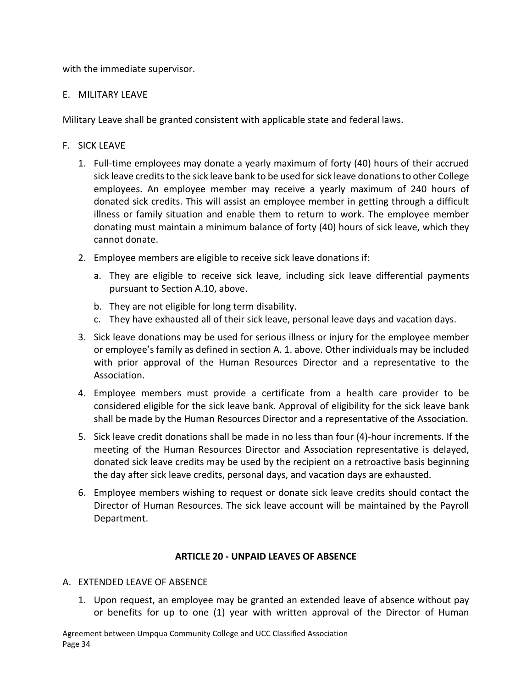with the immediate supervisor.

### E. MILITARY LEAVE

Military Leave shall be granted consistent with applicable state and federal laws.

## F. SICK LEAVE

- 1. Full-time employees may donate a yearly maximum of forty (40) hours of their accrued sick leave credits to the sick leave bank to be used for sick leave donations to other College employees. An employee member may receive a yearly maximum of 240 hours of donated sick credits. This will assist an employee member in getting through a difficult illness or family situation and enable them to return to work. The employee member donating must maintain a minimum balance of forty (40) hours of sick leave, which they cannot donate.
- 2. Employee members are eligible to receive sick leave donations if:
	- a. They are eligible to receive sick leave, including sick leave differential payments pursuant to Section A.10, above.
	- b. They are not eligible for long term disability.
	- c. They have exhausted all of their sick leave, personal leave days and vacation days.
- 3. Sick leave donations may be used for serious illness or injury for the employee member or employee's family as defined in section A. 1. above. Other individuals may be included with prior approval of the Human Resources Director and a representative to the Association.
- 4. Employee members must provide a certificate from a health care provider to be considered eligible for the sick leave bank. Approval of eligibility for the sick leave bank shall be made by the Human Resources Director and a representative of the Association.
- 5. Sick leave credit donations shall be made in no less than four (4)-hour increments. If the meeting of the Human Resources Director and Association representative is delayed, donated sick leave credits may be used by the recipient on a retroactive basis beginning the day after sick leave credits, personal days, and vacation days are exhausted.
- 6. Employee members wishing to request or donate sick leave credits should contact the Director of Human Resources. The sick leave account will be maintained by the Payroll Department.

## **ARTICLE 20 - UNPAID LEAVES OF ABSENCE**

### <span id="page-35-0"></span>A. EXTENDED LEAVE OF ABSENCE

1. Upon request, an employee may be granted an extended leave of absence without pay or benefits for up to one (1) year with written approval of the Director of Human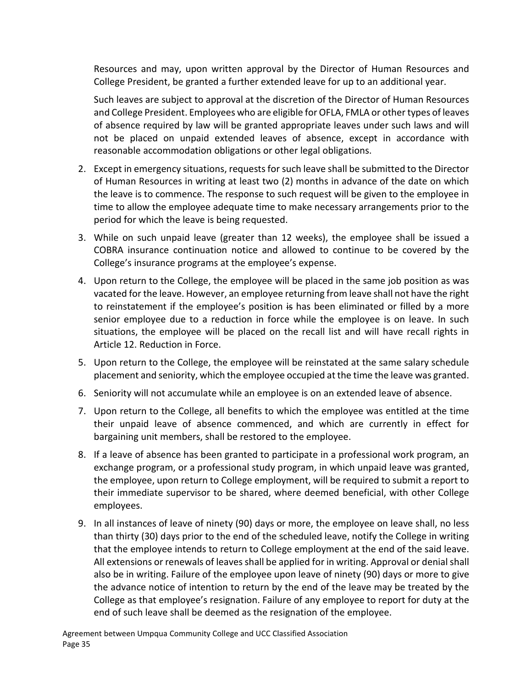Resources and may, upon written approval by the Director of Human Resources and College President, be granted a further extended leave for up to an additional year.

Such leaves are subject to approval at the discretion of the Director of Human Resources and College President. Employees who are eligible for OFLA, FMLA or other types of leaves of absence required by law will be granted appropriate leaves under such laws and will not be placed on unpaid extended leaves of absence, except in accordance with reasonable accommodation obligations or other legal obligations.

- 2. Except in emergency situations, requests for such leave shall be submitted to the Director of Human Resources in writing at least two (2) months in advance of the date on which the leave is to commence. The response to such request will be given to the employee in time to allow the employee adequate time to make necessary arrangements prior to the period for which the leave is being requested.
- 3. While on such unpaid leave (greater than 12 weeks), the employee shall be issued a COBRA insurance continuation notice and allowed to continue to be covered by the College's insurance programs at the employee's expense.
- 4. Upon return to the College, the employee will be placed in the same job position as was vacated for the leave. However, an employee returning from leave shall not have the right to reinstatement if the employee's position is has been eliminated or filled by a more senior employee due to a reduction in force while the employee is on leave. In such situations, the employee will be placed on the recall list and will have recall rights in Article 12. Reduction in Force.
- 5. Upon return to the College, the employee will be reinstated at the same salary schedule placement and seniority, which the employee occupied at the time the leave was granted.
- 6. Seniority will not accumulate while an employee is on an extended leave of absence.
- 7. Upon return to the College, all benefits to which the employee was entitled at the time their unpaid leave of absence commenced, and which are currently in effect for bargaining unit members, shall be restored to the employee.
- 8. If a leave of absence has been granted to participate in a professional work program, an exchange program, or a professional study program, in which unpaid leave was granted, the employee, upon return to College employment, will be required to submit a report to their immediate supervisor to be shared, where deemed beneficial, with other College employees.
- 9. In all instances of leave of ninety (90) days or more, the employee on leave shall, no less than thirty (30) days prior to the end of the scheduled leave, notify the College in writing that the employee intends to return to College employment at the end of the said leave. All extensions or renewals of leaves shall be applied for in writing. Approval or denial shall also be in writing. Failure of the employee upon leave of ninety (90) days or more to give the advance notice of intention to return by the end of the leave may be treated by the College as that employee's resignation. Failure of any employee to report for duty at the end of such leave shall be deemed as the resignation of the employee.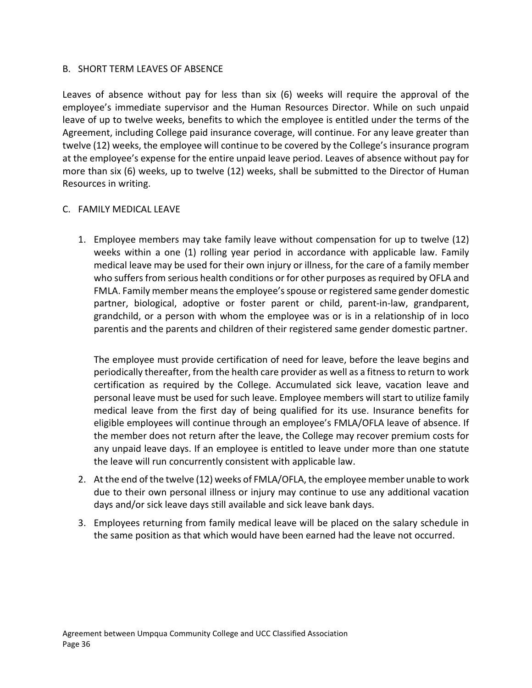### B. SHORT TERM LEAVES OF ABSENCE

Leaves of absence without pay for less than six (6) weeks will require the approval of the employee's immediate supervisor and the Human Resources Director. While on such unpaid leave of up to twelve weeks, benefits to which the employee is entitled under the terms of the Agreement, including College paid insurance coverage, will continue. For any leave greater than twelve (12) weeks, the employee will continue to be covered by the College's insurance program at the employee's expense for the entire unpaid leave period. Leaves of absence without pay for more than six (6) weeks, up to twelve (12) weeks, shall be submitted to the Director of Human Resources in writing.

### C. FAMILY MEDICAL LEAVE

1. Employee members may take family leave without compensation for up to twelve (12) weeks within a one (1) rolling year period in accordance with applicable law. Family medical leave may be used for their own injury or illness, for the care of a family member who suffers from serious health conditions or for other purposes as required by OFLA and FMLA. Family member means the employee's spouse or registered same gender domestic partner, biological, adoptive or foster parent or child, parent-in-law, grandparent, grandchild, or a person with whom the employee was or is in a relationship of in loco parentis and the parents and children of their registered same gender domestic partner.

The employee must provide certification of need for leave, before the leave begins and periodically thereafter, from the health care provider as well as a fitness to return to work certification as required by the College. Accumulated sick leave, vacation leave and personal leave must be used for such leave. Employee members will start to utilize family medical leave from the first day of being qualified for its use. Insurance benefits for eligible employees will continue through an employee's FMLA/OFLA leave of absence. If the member does not return after the leave, the College may recover premium costs for any unpaid leave days. If an employee is entitled to leave under more than one statute the leave will run concurrently consistent with applicable law.

- 2. At the end of the twelve (12) weeks of FMLA/OFLA, the employee member unable to work due to their own personal illness or injury may continue to use any additional vacation days and/or sick leave days still available and sick leave bank days.
- 3. Employees returning from family medical leave will be placed on the salary schedule in the same position as that which would have been earned had the leave not occurred.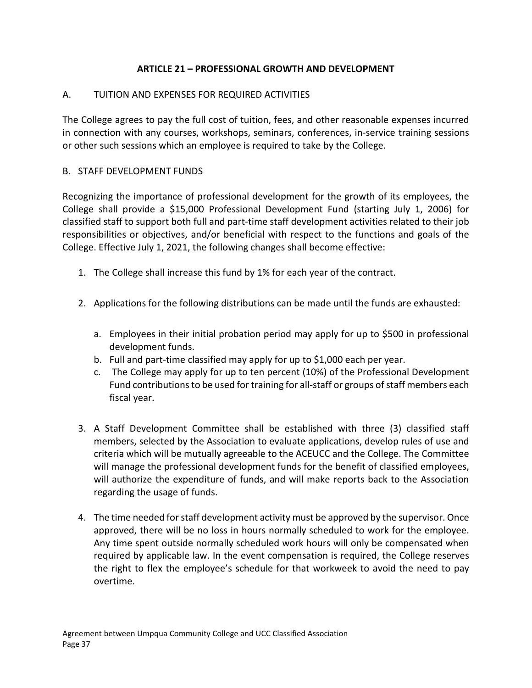## **ARTICLE 21 – PROFESSIONAL GROWTH AND DEVELOPMENT**

## <span id="page-38-0"></span>A. TUITION AND EXPENSES FOR REQUIRED ACTIVITIES

The College agrees to pay the full cost of tuition, fees, and other reasonable expenses incurred in connection with any courses, workshops, seminars, conferences, in-service training sessions or other such sessions which an employee is required to take by the College.

## B. STAFF DEVELOPMENT FUNDS

Recognizing the importance of professional development for the growth of its employees, the College shall provide a \$15,000 Professional Development Fund (starting July 1, 2006) for classified staff to support both full and part-time staff development activities related to their job responsibilities or objectives, and/or beneficial with respect to the functions and goals of the College. Effective July 1, 2021, the following changes shall become effective:

- 1. The College shall increase this fund by 1% for each year of the contract.
- 2. Applications for the following distributions can be made until the funds are exhausted:
	- a. Employees in their initial probation period may apply for up to \$500 in professional development funds.
	- b. Full and part-time classified may apply for up to \$1,000 each per year.
	- c. The College may apply for up to ten percent (10%) of the Professional Development Fund contributions to be used for training for all-staff or groups of staff members each fiscal year.
- 3. A Staff Development Committee shall be established with three (3) classified staff members, selected by the Association to evaluate applications, develop rules of use and criteria which will be mutually agreeable to the ACEUCC and the College. The Committee will manage the professional development funds for the benefit of classified employees, will authorize the expenditure of funds, and will make reports back to the Association regarding the usage of funds.
- 4. The time needed for staff development activity must be approved by the supervisor. Once approved, there will be no loss in hours normally scheduled to work for the employee. Any time spent outside normally scheduled work hours will only be compensated when required by applicable law. In the event compensation is required, the College reserves the right to flex the employee's schedule for that workweek to avoid the need to pay overtime.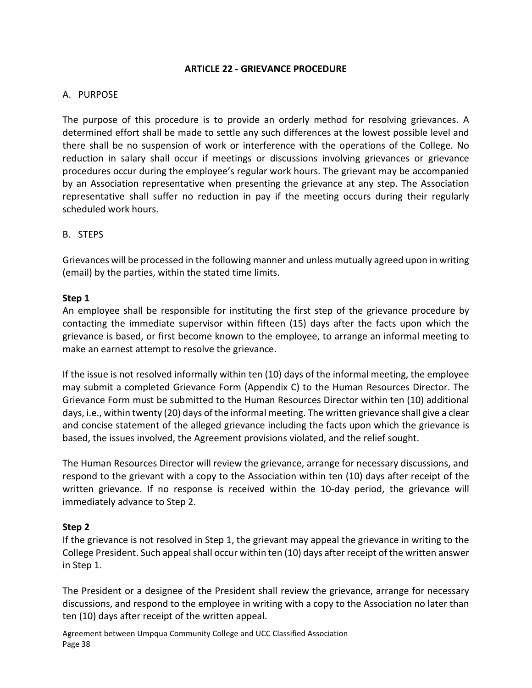### **ARTICLE 22 - GRIEVANCE PROCEDURE**

#### <span id="page-39-0"></span>A. PURPOSE

The purpose of this procedure is to provide an orderly method for resolving grievances. A determined effort shall be made to settle any such differences at the lowest possible level and there shall be no suspension of work or interference with the operations of the College. No reduction in salary shall occur if meetings or discussions involving grievances or grievance procedures occur during the employee's regular work hours. The grievant may be accompanied by an Association representative when presenting the grievance at any step. The Association representative shall suffer no reduction in pay if the meeting occurs during their regularly scheduled work hours.

### B. STEPS

Grievances will be processed in the following manner and unless mutually agreed upon in writing (email) by the parties, within the stated time limits.

#### **Step 1**

An employee shall be responsible for instituting the first step of the grievance procedure by contacting the immediate supervisor within fifteen (15) days after the facts upon which the grievance is based, or first become known to the employee, to arrange an informal meeting to make an earnest attempt to resolve the grievance.

If the issue is not resolved informally within ten (10) days of the informal meeting, the employee may submit a completed Grievance Form (Appendix C) to the Human Resources Director. The Grievance Form must be submitted to the Human Resources Director within ten (10) additional days, i.e., within twenty (20) days of the informal meeting. The written grievance shall give a clear and concise statement of the alleged grievance including the facts upon which the grievance is based, the issues involved, the Agreement provisions violated, and the relief sought.

The Human Resources Director will review the grievance, arrange for necessary discussions, and respond to the grievant with a copy to the Association within ten (10) days after receipt of the written grievance. If no response is received within the 10-day period, the grievance will immediately advance to Step 2.

#### **Step 2**

If the grievance is not resolved in Step 1, the grievant may appeal the grievance in writing to the College President. Such appeal shall occur within ten (10) days after receipt of the written answer in Step 1.

The President or a designee of the President shall review the grievance, arrange for necessary discussions, and respond to the employee in writing with a copy to the Association no later than ten (10) days after receipt of the written appeal.

Agreement between Umpqua Community College and UCC Classified Association Page 38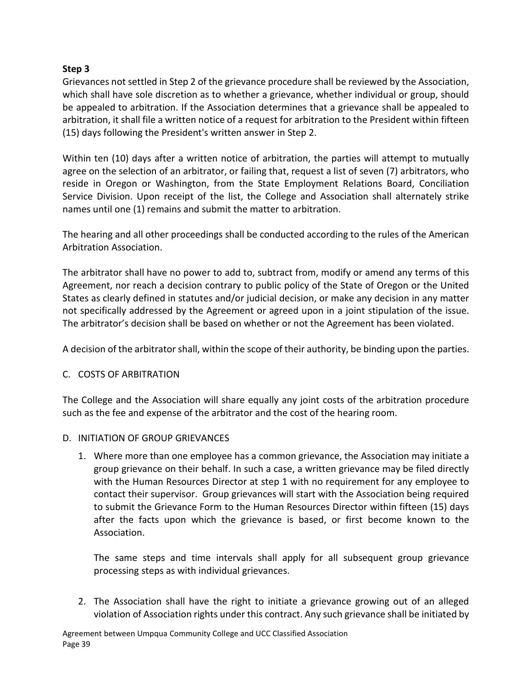## **Step 3**

Grievances not settled in Step 2 of the grievance procedure shall be reviewed by the Association, which shall have sole discretion as to whether a grievance, whether individual or group, should be appealed to arbitration. If the Association determines that a grievance shall be appealed to arbitration, it shall file a written notice of a request for arbitration to the President within fifteen (15) days following the President's written answer in Step 2.

Within ten (10) days after a written notice of arbitration, the parties will attempt to mutually agree on the selection of an arbitrator, or failing that, request a list of seven (7) arbitrators, who reside in Oregon or Washington, from the State Employment Relations Board, Conciliation Service Division. Upon receipt of the list, the College and Association shall alternately strike names until one (1) remains and submit the matter to arbitration.

The hearing and all other proceedings shall be conducted according to the rules of the American Arbitration Association.

The arbitrator shall have no power to add to, subtract from, modify or amend any terms of this Agreement, nor reach a decision contrary to public policy of the State of Oregon or the United States as clearly defined in statutes and/or judicial decision, or make any decision in any matter not specifically addressed by the Agreement or agreed upon in a joint stipulation of the issue. The arbitrator's decision shall be based on whether or not the Agreement has been violated.

A decision of the arbitrator shall, within the scope of their authority, be binding upon the parties.

## C. COSTS OF ARBITRATION

The College and the Association will share equally any joint costs of the arbitration procedure such as the fee and expense of the arbitrator and the cost of the hearing room.

### D. INITIATION OF GROUP GRIEVANCES

1. Where more than one employee has a common grievance, the Association may initiate a group grievance on their behalf. In such a case, a written grievance may be filed directly with the Human Resources Director at step 1 with no requirement for any employee to contact their supervisor. Group grievances will start with the Association being required to submit the Grievance Form to the Human Resources Director within fifteen (15) days after the facts upon which the grievance is based, or first become known to the Association.

The same steps and time intervals shall apply for all subsequent group grievance processing steps as with individual grievances.

2. The Association shall have the right to initiate a grievance growing out of an alleged violation of Association rights under this contract. Any such grievance shall be initiated by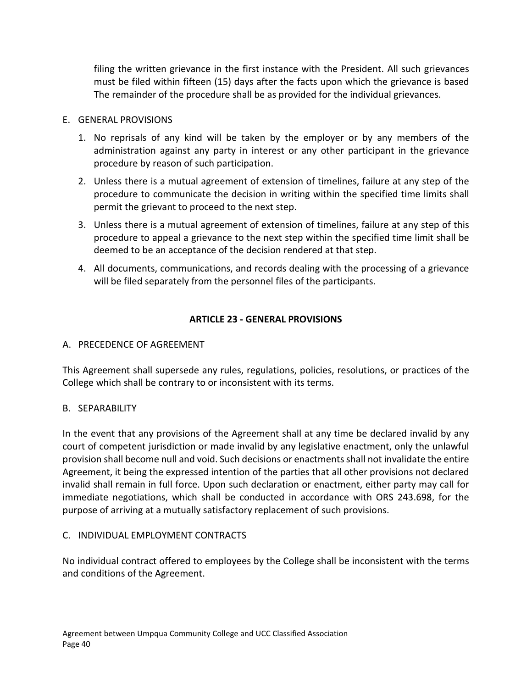filing the written grievance in the first instance with the President. All such grievances must be filed within fifteen (15) days after the facts upon which the grievance is based The remainder of the procedure shall be as provided for the individual grievances.

## E. GENERAL PROVISIONS

- 1. No reprisals of any kind will be taken by the employer or by any members of the administration against any party in interest or any other participant in the grievance procedure by reason of such participation.
- 2. Unless there is a mutual agreement of extension of timelines, failure at any step of the procedure to communicate the decision in writing within the specified time limits shall permit the grievant to proceed to the next step.
- 3. Unless there is a mutual agreement of extension of timelines, failure at any step of this procedure to appeal a grievance to the next step within the specified time limit shall be deemed to be an acceptance of the decision rendered at that step.
- 4. All documents, communications, and records dealing with the processing of a grievance will be filed separately from the personnel files of the participants.

## **ARTICLE 23 - GENERAL PROVISIONS**

## <span id="page-41-0"></span>A. PRECEDENCE OF AGREEMENT

This Agreement shall supersede any rules, regulations, policies, resolutions, or practices of the College which shall be contrary to or inconsistent with its terms.

## B. SEPARABILITY

In the event that any provisions of the Agreement shall at any time be declared invalid by any court of competent jurisdiction or made invalid by any legislative enactment, only the unlawful provision shall become null and void. Such decisions or enactments shall not invalidate the entire Agreement, it being the expressed intention of the parties that all other provisions not declared invalid shall remain in full force. Upon such declaration or enactment, either party may call for immediate negotiations, which shall be conducted in accordance with ORS 243.698, for the purpose of arriving at a mutually satisfactory replacement of such provisions.

### C. INDIVIDUAL EMPLOYMENT CONTRACTS

No individual contract offered to employees by the College shall be inconsistent with the terms and conditions of the Agreement.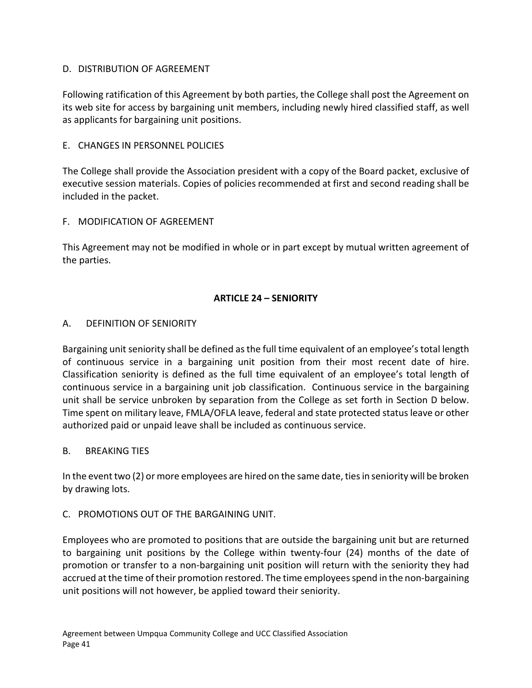## D. DISTRIBUTION OF AGREEMENT

Following ratification of this Agreement by both parties, the College shall post the Agreement on its web site for access by bargaining unit members, including newly hired classified staff, as well as applicants for bargaining unit positions.

## E. CHANGES IN PERSONNEL POLICIES

The College shall provide the Association president with a copy of the Board packet, exclusive of executive session materials. Copies of policies recommended at first and second reading shall be included in the packet.

### F. MODIFICATION OF AGREEMENT

This Agreement may not be modified in whole or in part except by mutual written agreement of the parties.

### **ARTICLE 24 – SENIORITY**

### <span id="page-42-0"></span>A. DEFINITION OF SENIORITY

Bargaining unit seniority shall be defined as the full time equivalent of an employee's total length of continuous service in a bargaining unit position from their most recent date of hire. Classification seniority is defined as the full time equivalent of an employee's total length of continuous service in a bargaining unit job classification. Continuous service in the bargaining unit shall be service unbroken by separation from the College as set forth in Section D below. Time spent on military leave, FMLA/OFLA leave, federal and state protected status leave or other authorized paid or unpaid leave shall be included as continuous service.

### B. BREAKING TIES

In the event two (2) or more employees are hired on the same date, ties in seniority will be broken by drawing lots.

### C. PROMOTIONS OUT OF THE BARGAINING UNIT.

Employees who are promoted to positions that are outside the bargaining unit but are returned to bargaining unit positions by the College within twenty-four (24) months of the date of promotion or transfer to a non-bargaining unit position will return with the seniority they had accrued at the time of their promotion restored. The time employees spend in the non-bargaining unit positions will not however, be applied toward their seniority.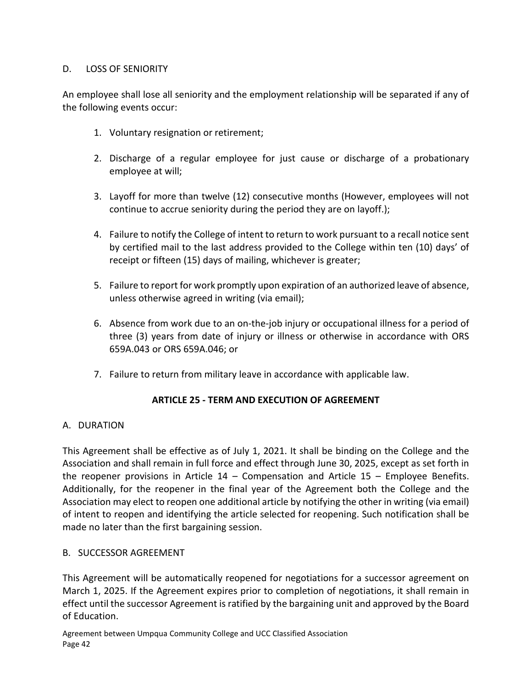## D. LOSS OF SENIORITY

An employee shall lose all seniority and the employment relationship will be separated if any of the following events occur:

- 1. Voluntary resignation or retirement;
- 2. Discharge of a regular employee for just cause or discharge of a probationary employee at will;
- 3. Layoff for more than twelve (12) consecutive months (However, employees will not continue to accrue seniority during the period they are on layoff.);
- 4. Failure to notify the College of intent to return to work pursuant to a recall notice sent by certified mail to the last address provided to the College within ten (10) days' of receipt or fifteen (15) days of mailing, whichever is greater;
- 5. Failure to report for work promptly upon expiration of an authorized leave of absence, unless otherwise agreed in writing (via email);
- 6. Absence from work due to an on-the-job injury or occupational illness for a period of three (3) years from date of injury or illness or otherwise in accordance with ORS 659A.043 or ORS 659A.046; or
- 7. Failure to return from military leave in accordance with applicable law.

### **ARTICLE 25 - TERM AND EXECUTION OF AGREEMENT**

### <span id="page-43-0"></span>A. DURATION

This Agreement shall be effective as of July 1, 2021. It shall be binding on the College and the Association and shall remain in full force and effect through June 30, 2025, except as set forth in the reopener provisions in Article  $14$  – Compensation and Article  $15$  – Employee Benefits. Additionally, for the reopener in the final year of the Agreement both the College and the Association may elect to reopen one additional article by notifying the other in writing (via email) of intent to reopen and identifying the article selected for reopening. Such notification shall be made no later than the first bargaining session.

### B. SUCCESSOR AGREEMENT

This Agreement will be automatically reopened for negotiations for a successor agreement on March 1, 2025. If the Agreement expires prior to completion of negotiations, it shall remain in effect until the successor Agreement is ratified by the bargaining unit and approved by the Board of Education.

Agreement between Umpqua Community College and UCC Classified Association Page 42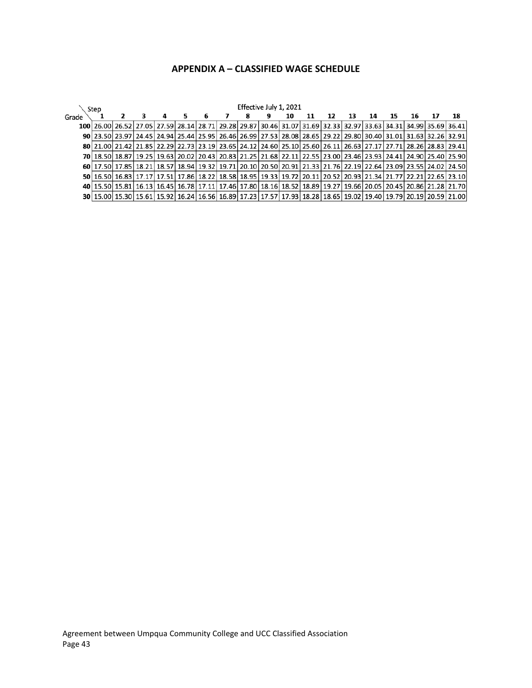## **APPENDIX A – CLASSIFIED WAGE SCHEDULE**

<span id="page-44-0"></span>

|       | Effective July 1, 2021<br>Step                                                                                                                 |  |  |  |    |    |  |   |    |    |    |    |    |    |  |                                                                                                                |
|-------|------------------------------------------------------------------------------------------------------------------------------------------------|--|--|--|----|----|--|---|----|----|----|----|----|----|--|----------------------------------------------------------------------------------------------------------------|
| Grade |                                                                                                                                                |  |  |  | 5. | -6 |  | 8 | 10 | 11 | 12 | 13 | 14 | 15 |  | 18                                                                                                             |
|       | 100 26.00 26.52 27.05 27.59 28.14 28.71 29.28 29.87 30.46 31.07 31.69 32.33 32.97 33.63 34.31 34.99 35.69 36.41                                |  |  |  |    |    |  |   |    |    |    |    |    |    |  |                                                                                                                |
|       | 90 23.50 23.97 24.45 24.94 25.44 25.95 26.46 26.99 27.53 28.08 28.65 29.22 29.80 30.40 31.01 31.63 32.26 32.91                                 |  |  |  |    |    |  |   |    |    |    |    |    |    |  |                                                                                                                |
|       | 80 21.00 21.42 21.85 22.29 22.73 23.19 23.65 24.12 24.60 25.10 25.60 26.11 26.63 27.17 27.71 28.26 28.83 29.41                                 |  |  |  |    |    |  |   |    |    |    |    |    |    |  |                                                                                                                |
|       | 70 18.50 18.87   19.25   19.63   20.02   20.43   20.83   21.25   21.68   22.11   22.55   23.00   23.46   23.93   24.41   24.90   25.40   25.90 |  |  |  |    |    |  |   |    |    |    |    |    |    |  |                                                                                                                |
|       | 60 17.50 2.55 24.02 24.50 24.50 22.176 22.19 20.10 20.50 20.91 21.33 21.76 22.19 22.64 23.09 23.55 24.02 24.50                                 |  |  |  |    |    |  |   |    |    |    |    |    |    |  |                                                                                                                |
|       | 50 16.50 16.83 17.17 17.51 17.86 18.22 18.58 18.95 19.33 19.72 20.11 20.52 20.93 21.34 21.77 22.21 22.65 23.10                                 |  |  |  |    |    |  |   |    |    |    |    |    |    |  |                                                                                                                |
|       |                                                                                                                                                |  |  |  |    |    |  |   |    |    |    |    |    |    |  | 40 15.50 15.81 16.13 16.45 16.78 17.11 17.46 17.80 18.16 18.52 18.89 19.27 19.66 20.05 20.45 20.86 21.28 21.70 |
|       |                                                                                                                                                |  |  |  |    |    |  |   |    |    |    |    |    |    |  | 30 15.00 15.30 15.61 15.92 16.24 16.56 16.89 17.23 17.57 17.93 18.28 18.65 19.02 19.40 19.79 20.19 20.59 21.00 |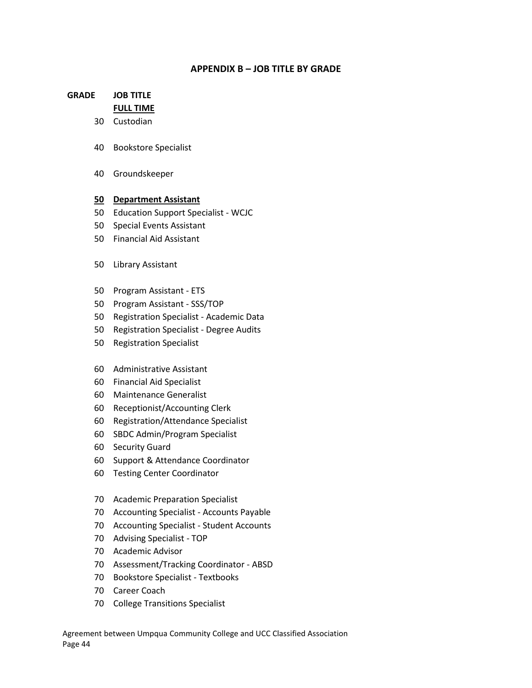#### **APPENDIX B – JOB TITLE BY GRADE**

## <span id="page-45-0"></span>**GRADE JOB TITLE FULL TIME**

- Custodian
- Bookstore Specialist
- Groundskeeper

#### **Department Assistant**

- Education Support Specialist WCJC
- Special Events Assistant
- Financial Aid Assistant
- Library Assistant
- Program Assistant ETS
- Program Assistant SSS/TOP
- Registration Specialist Academic Data
- Registration Specialist Degree Audits
- Registration Specialist
- Administrative Assistant
- Financial Aid Specialist
- Maintenance Generalist
- Receptionist/Accounting Clerk
- Registration/Attendance Specialist
- SBDC Admin/Program Specialist
- Security Guard
- Support & Attendance Coordinator
- Testing Center Coordinator
- Academic Preparation Specialist
- Accounting Specialist Accounts Payable
- Accounting Specialist Student Accounts
- Advising Specialist TOP
- Academic Advisor
- Assessment/Tracking Coordinator ABSD
- Bookstore Specialist Textbooks
- Career Coach
- College Transitions Specialist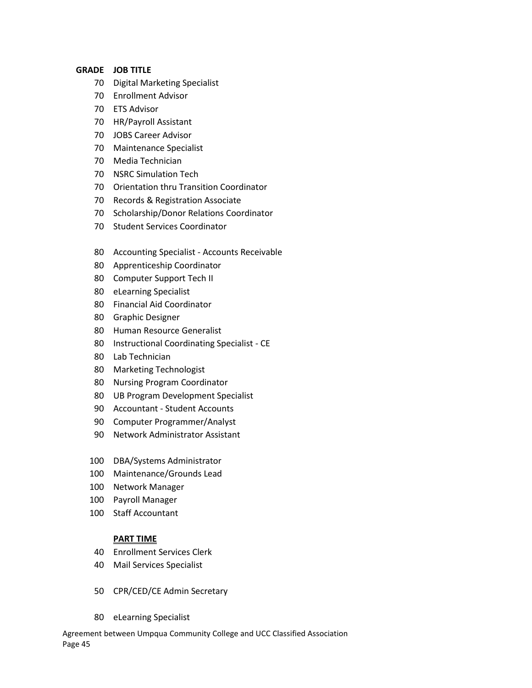#### **GRADE JOB TITLE**

- Digital Marketing Specialist
- Enrollment Advisor
- ETS Advisor
- HR/Payroll Assistant
- JOBS Career Advisor
- Maintenance Specialist
- Media Technician
- NSRC Simulation Tech
- Orientation thru Transition Coordinator
- Records & Registration Associate
- Scholarship/Donor Relations Coordinator
- Student Services Coordinator
- Accounting Specialist Accounts Receivable
- Apprenticeship Coordinator
- Computer Support Tech II
- eLearning Specialist
- Financial Aid Coordinator
- Graphic Designer
- Human Resource Generalist
- Instructional Coordinating Specialist CE
- Lab Technician
- Marketing Technologist
- Nursing Program Coordinator
- UB Program Development Specialist
- Accountant Student Accounts
- Computer Programmer/Analyst
- Network Administrator Assistant
- DBA/Systems Administrator
- Maintenance/Grounds Lead
- Network Manager
- Payroll Manager
- Staff Accountant

#### **PART TIME**

- Enrollment Services Clerk
- Mail Services Specialist
- CPR/CED/CE Admin Secretary
- eLearning Specialist

Agreement between Umpqua Community College and UCC Classified Association Page 45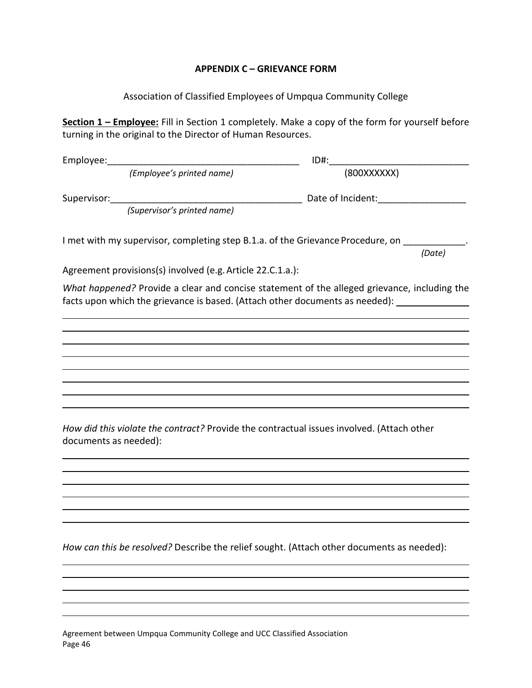### **APPENDIX C – GRIEVANCE FORM**

Association of Classified Employees of Umpqua Community College

<span id="page-47-0"></span>**Section 1 – Employee:** Fill in Section 1 completely. Make a copy of the form for yourself before turning in the original to the Director of Human Resources.

| Employee:   |                                                                                                                                                                              | $ID#$ :           |        |
|-------------|------------------------------------------------------------------------------------------------------------------------------------------------------------------------------|-------------------|--------|
|             | (Employee's printed name)                                                                                                                                                    | (800XXXXXX)       |        |
| Supervisor: | (Supervisor's printed name)                                                                                                                                                  | Date of Incident: |        |
|             | I met with my supervisor, completing step B.1.a. of the Grievance Procedure, on                                                                                              |                   | (Date) |
|             | Agreement provisions(s) involved (e.g. Article 22.C.1.a.):                                                                                                                   |                   |        |
|             | What happened? Provide a clear and concise statement of the alleged grievance, including the<br>facts upon which the grievance is based. (Attach other documents as needed): |                   |        |
|             |                                                                                                                                                                              |                   |        |

*How did this violate the contract?* Provide the contractual issues involved. (Attach other documents as needed):

*How can this be resolved?* Describe the relief sought. (Attach other documents as needed):

Agreement between Umpqua Community College and UCC Classified Association Page 46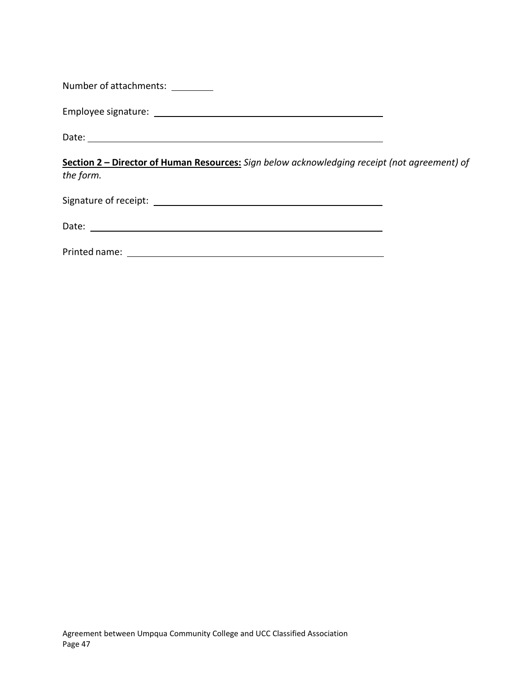| Number of attachments: |  |
|------------------------|--|
|------------------------|--|

Employee signature:

Date:

**Section 2 – Director of Human Resources:** *Sign below acknowledging receipt (not agreement) of the form.*

Signature of receipt:

Date: when the contract of the contract of the contract of the contract of the contract of the contract of the contract of the contract of the contract of the contract of the contract of the contract of the contract of the

Printed name: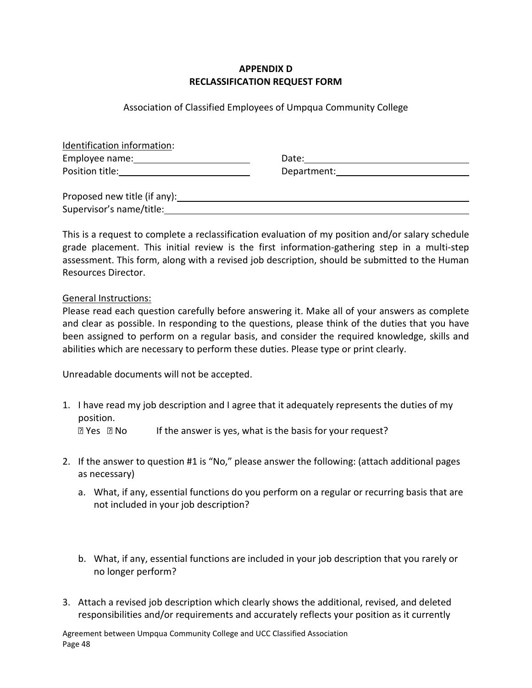## **APPENDIX D RECLASSIFICATION REQUEST FORM**

### Association of Classified Employees of Umpqua Community College

| Identification information:                                                                                     |                                                                                                                                                                                                                                |
|-----------------------------------------------------------------------------------------------------------------|--------------------------------------------------------------------------------------------------------------------------------------------------------------------------------------------------------------------------------|
| Employee name: Notified that the same of the same state of the same state of the same state of the same state o | Date: the contract of the contract of the contract of the contract of the contract of the contract of the contract of the contract of the contract of the contract of the contract of the contract of the contract of the cont |
| <b>Position title:</b> Position title:                                                                          | Department: the contract of the contract of the contract of the contract of the contract of the contract of the contract of the contract of the contract of the contract of the contract of the contract of the contract of th |
| Proposed new title (if any):                                                                                    |                                                                                                                                                                                                                                |
| Supervisor's name/title:                                                                                        |                                                                                                                                                                                                                                |

This is a request to complete a reclassification evaluation of my position and/or salary schedule grade placement. This initial review is the first information-gathering step in a multi-step assessment. This form, along with a revised job description, should be submitted to the Human Resources Director.

### General Instructions:

Please read each question carefully before answering it. Make all of your answers as complete and clear as possible. In responding to the questions, please think of the duties that you have been assigned to perform on a regular basis, and consider the required knowledge, skills and abilities which are necessary to perform these duties. Please type or print clearly.

Unreadable documents will not be accepted.

1. I have read my job description and I agree that it adequately represents the duties of my position.

 $\mathbb{R}$  Yes  $\mathbb{R}$  No If the answer is yes, what is the basis for your request?

- 2. If the answer to question #1 is "No," please answer the following: (attach additional pages as necessary)
	- a. What, if any, essential functions do you perform on a regular or recurring basis that are not included in your job description?
	- b. What, if any, essential functions are included in your job description that you rarely or no longer perform?
- 3. Attach a revised job description which clearly shows the additional, revised, and deleted responsibilities and/or requirements and accurately reflects your position as it currently

Agreement between Umpqua Community College and UCC Classified Association Page 48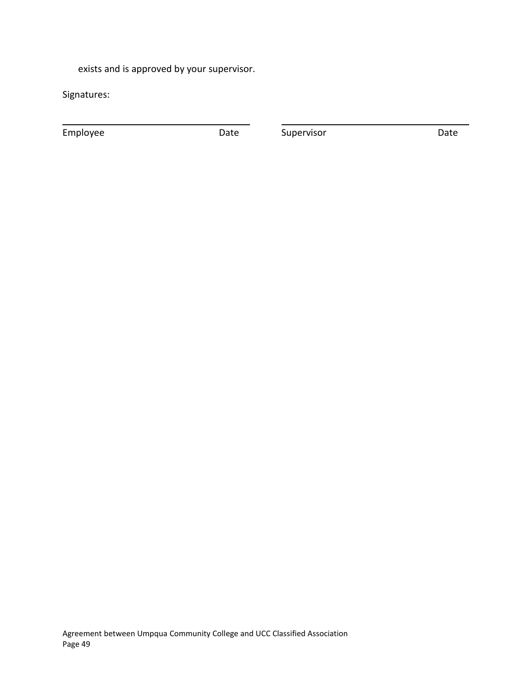exists and is approved by your supervisor.

Signatures:

Employee **Date** Date Supervisor Date Date